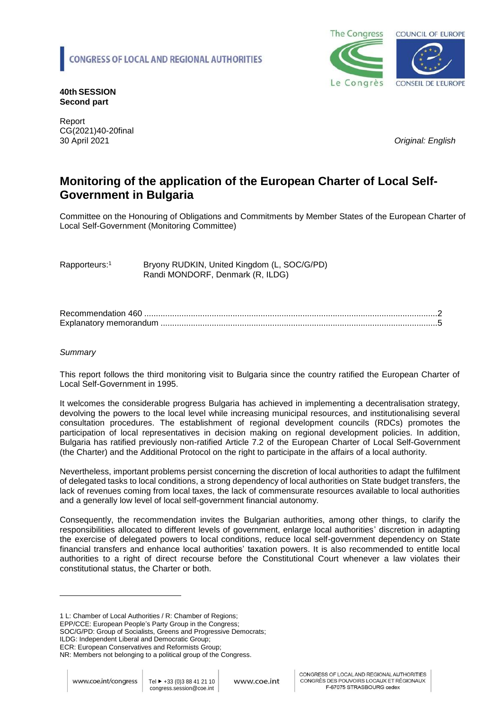

**40th SESSION Second part**

Report CG(2021)40-20final 30 April 2021 *Original: English* 

# **Monitoring of the application of the European Charter of Local Self-Government in Bulgaria**

Committee on the Honouring of Obligations and Commitments by Member States of the European Charter of Local Self-Government (Monitoring Committee)

Rapporteurs:<sup>1</sup> Bryony RUDKIN, United Kingdom (L, SOC/G/PD) Randi MONDORF, Denmark (R, ILDG)

Recommendation 460 [..............................................................................................................................2](#page-1-0) Explanatory memorandum [.......................................................................................................................5](#page-4-0)

#### *Summary*

This report follows the third monitoring visit to Bulgaria since the country ratified the European Charter of Local Self-Government in 1995.

It welcomes the considerable progress Bulgaria has achieved in implementing a decentralisation strategy, devolving the powers to the local level while increasing municipal resources, and institutionalising several consultation procedures. The establishment of regional development councils (RDCs) promotes the participation of local representatives in decision making on regional development policies. In addition, Bulgaria has ratified previously non-ratified Article 7.2 of the European Charter of Local Self-Government (the Charter) and the Additional Protocol on the right to participate in the affairs of a local authority.

Nevertheless, important problems persist concerning the discretion of local authorities to adapt the fulfilment of delegated tasks to local conditions, a strong dependency of local authorities on State budget transfers, the lack of revenues coming from local taxes, the lack of commensurate resources available to local authorities and a generally low level of local self-government financial autonomy.

Consequently, the recommendation invites the Bulgarian authorities, among other things, to clarify the responsibilities allocated to different levels of government, enlarge local authorities' discretion in adapting the exercise of delegated powers to local conditions, reduce local self-government dependency on State financial transfers and enhance local authorities' taxation powers. It is also recommended to entitle local authorities to a right of direct recourse before the Constitutional Court whenever a law violates their constitutional status, the Charter or both.

1 L: Chamber of Local Authorities / R: Chamber of Regions;

EPP/CCE: European People's Party Group in the Congress;

SOC/G/PD: Group of Socialists, Greens and Progressive Democrats;

ILDG: Independent Liberal and Democratic Group;

ECR: European Conservatives and Reformists Group;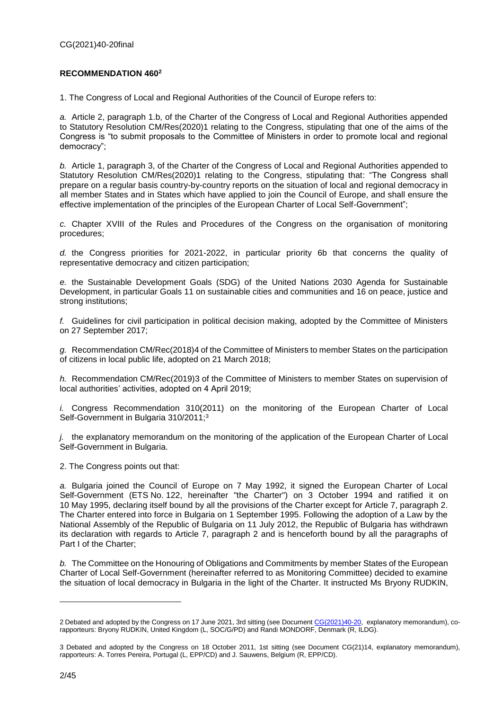### <span id="page-1-0"></span>**RECOMMENDATION 460<sup>2</sup>**

1. The Congress of Local and Regional Authorities of the Council of Europe refers to:

*a.* Article 2, paragraph 1.b, of the Charter of the Congress of Local and Regional Authorities appended to Statutory Resolution CM/Res(2020)1 relating to the Congress, stipulating that one of the aims of the Congress is "to submit proposals to the Committee of Ministers in order to promote local and regional democracy";

*b.* Article 1, paragraph 3, of the Charter of the Congress of Local and Regional Authorities appended to Statutory Resolution CM/Res(2020)1 relating to the Congress, stipulating that: "The Congress shall prepare on a regular basis country-by-country reports on the situation of local and regional democracy in all member States and in States which have applied to join the Council of Europe, and shall ensure the effective implementation of the principles of the European Charter of Local Self-Government";

*c.* Chapter XVIII of the Rules and Procedures of the Congress on the organisation of monitoring procedures;

*d.* the Congress priorities for 2021-2022, in particular priority 6b that concerns the quality of representative democracy and citizen participation;

*e.* the Sustainable Development Goals (SDG) of the United Nations 2030 Agenda for Sustainable Development, in particular Goals 11 on sustainable cities and communities and 16 on peace, justice and strong institutions:

*f.* Guidelines for civil participation in political decision making, adopted by the Committee of Ministers on 27 September 2017;

*g.* Recommendation CM/Rec(2018)4 of the Committee of Ministers to member States on the participation of citizens in local public life, adopted on 21 March 2018;

*h.* Recommendation CM/Rec(2019)3 of the Committee of Ministers to member States on supervision of local authorities' activities, adopted on 4 April 2019;

*i.* Congress Recommendation 310(2011) on the monitoring of the European Charter of Local Self-Government in Bulgaria 310/2011;<sup>3</sup>

*j.* the explanatory memorandum on the monitoring of the application of the European Charter of Local Self-Government in Bulgaria.

2. The Congress points out that:

*a.* Bulgaria joined the Council of Europe on 7 May 1992, it signed the European Charter of Local Self-Government (ETS No. 122, hereinafter "the Charter") on 3 October 1994 and ratified it on 10 May 1995, declaring itself bound by all the provisions of the Charter except for Article 7, paragraph 2. The Charter entered into force in Bulgaria on 1 September 1995. Following the adoption of a Law by the National Assembly of the Republic of Bulgaria on 11 July 2012, the Republic of Bulgaria has withdrawn its declaration with regards to Article 7, paragraph 2 and is henceforth bound by all the paragraphs of Part I of the Charter;

*b.* The Committee on the Honouring of Obligations and Commitments by member States of the European Charter of Local Self-Government (hereinafter referred to as Monitoring Committee) decided to examine the situation of local democracy in Bulgaria in the light of the Charter. It instructed Ms Bryony RUDKIN,

<sup>2</sup> Debated and adopted by the Congress on 17 June 2021, 3rd sitting (see Document [CG\(2021\)40-20,](https://rm.coe.int/monitoring-of-the-application-of-the-european-charter-of-local-self-go/1680a28bb8) explanatory memorandum), corapporteurs: Bryony RUDKIN, United Kingdom (L, SOC/G/PD) and Randi MONDORF, Denmark (R, ILDG).

<sup>3</sup> Debated and adopted by the Congress on 18 October 2011, 1st sitting (see Document CG(21)14, explanatory memorandum), rapporteurs: A. Torres Pereira, Portugal (L, EPP/CD) and J. Sauwens, Belgium (R, EPP/CD).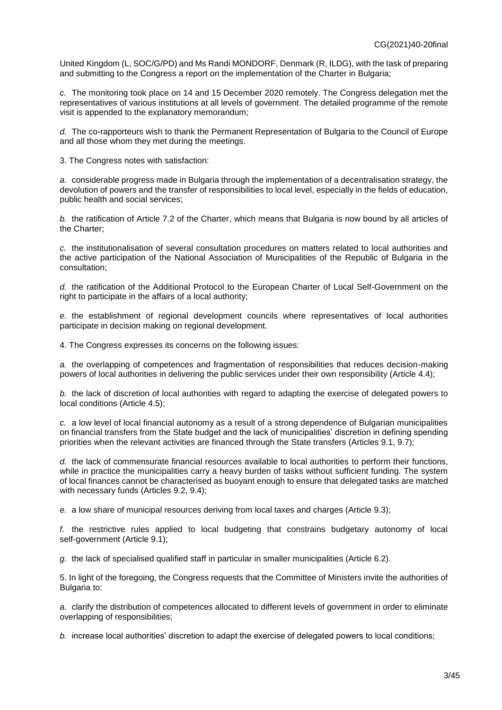United Kingdom (L, SOC/G/PD) and Ms Randi MONDORF, Denmark (R, ILDG), with the task of preparing and submitting to the Congress a report on the implementation of the Charter in Bulgaria;

*c.* The monitoring took place on 14 and 15 December 2020 remotely. The Congress delegation met the representatives of various institutions at all levels of government. The detailed programme of the remote visit is appended to the explanatory memorandum;

*d.* The co-rapporteurs wish to thank the Permanent Representation of Bulgaria to the Council of Europe and all those whom they met during the meetings.

3. The Congress notes with satisfaction:

*a.* considerable progress made in Bulgaria through the implementation of a decentralisation strategy, the devolution of powers and the transfer of responsibilities to local level, especially in the fields of education, public health and social services;

*b.* the ratification of Article 7.2 of the Charter, which means that Bulgaria is now bound by all articles of the Charter;

*c.* the institutionalisation of several consultation procedures on matters related to local authorities and the active participation of the National Association of Municipalities of the Republic of Bulgaria in the consultation;

*d.* the ratification of the Additional Protocol to the European Charter of Local Self-Government on the right to participate in the affairs of a local authority;

*e.* the establishment of regional development councils where representatives of local authorities participate in decision making on regional development.

4. The Congress expresses its concerns on the following issues:

*a.* the overlapping of competences and fragmentation of responsibilities that reduces decision-making powers of local authorities in delivering the public services under their own responsibility (Article 4.4);

*b.* the lack of discretion of local authorities with regard to adapting the exercise of delegated powers to local conditions (Article 4.5);

*c.* a low level of local financial autonomy as a result of a strong dependence of Bulgarian municipalities on financial transfers from the State budget and the lack of municipalities' discretion in defining spending priorities when the relevant activities are financed through the State transfers (Articles 9.1, 9.7);

*d.* the lack of commensurate financial resources available to local authorities to perform their functions, while in practice the municipalities carry a heavy burden of tasks without sufficient funding. The system of local finances cannot be characterised as buoyant enough to ensure that delegated tasks are matched with necessary funds (Articles 9.2, 9.4);

*e.* a low share of municipal resources deriving from local taxes and charges (Article 9.3);

*f.* the restrictive rules applied to local budgeting that constrains budgetary autonomy of local self-government (Article 9.1);

*g.* the lack of specialised qualified staff in particular in smaller municipalities (Article 6.2).

5. In light of the foregoing, the Congress requests that the Committee of Ministers invite the authorities of Bulgaria to:

*a.* clarify the distribution of competences allocated to different levels of government in order to eliminate overlapping of responsibilities;

*b.* increase local authorities' discretion to adapt the exercise of delegated powers to local conditions;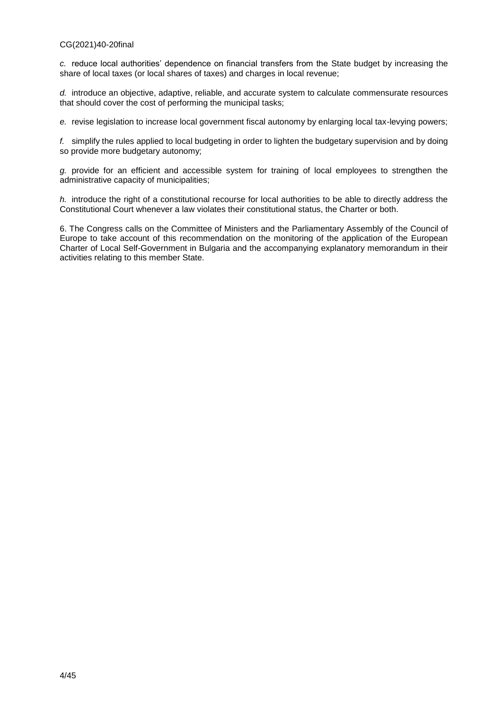*c.* reduce local authorities' dependence on financial transfers from the State budget by increasing the share of local taxes (or local shares of taxes) and charges in local revenue;

*d.* introduce an objective, adaptive, reliable, and accurate system to calculate commensurate resources that should cover the cost of performing the municipal tasks;

*e.* revise legislation to increase local government fiscal autonomy by enlarging local tax-levying powers;

*f.* simplify the rules applied to local budgeting in order to lighten the budgetary supervision and by doing so provide more budgetary autonomy;

*g.* provide for an efficient and accessible system for training of local employees to strengthen the administrative capacity of municipalities;

*h.* introduce the right of a constitutional recourse for local authorities to be able to directly address the Constitutional Court whenever a law violates their constitutional status, the Charter or both.

6. The Congress calls on the Committee of Ministers and the Parliamentary Assembly of the Council of Europe to take account of this recommendation on the monitoring of the application of the European Charter of Local Self-Government in Bulgaria and the accompanying explanatory memorandum in their activities relating to this member State.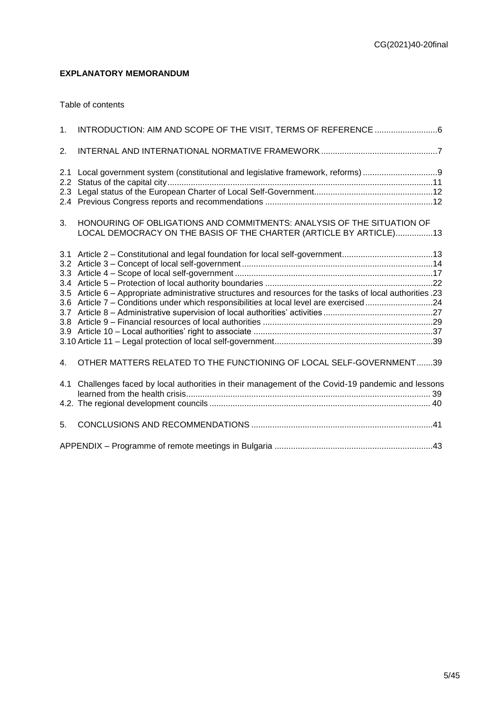## <span id="page-4-0"></span>**EXPLANATORY MEMORANDUM**

#### Table of contents

| 1 <sub>1</sub>              | INTRODUCTION: AIM AND SCOPE OF THE VISIT, TERMS OF REFERENCE 6                                                                                                                               |  |
|-----------------------------|----------------------------------------------------------------------------------------------------------------------------------------------------------------------------------------------|--|
| 2.                          |                                                                                                                                                                                              |  |
| 2.1<br>$2.2^{\circ}$<br>2.3 | Local government system (constitutional and legislative framework, reforms)                                                                                                                  |  |
| 3.                          | HONOURING OF OBLIGATIONS AND COMMITMENTS: ANALYSIS OF THE SITUATION OF<br>LOCAL DEMOCRACY ON THE BASIS OF THE CHARTER (ARTICLE BY ARTICLE)13                                                 |  |
| 3.5<br>3.6                  | Article 6 - Appropriate administrative structures and resources for the tasks of local authorities .23<br>Article 7 - Conditions under which responsibilities at local level are exercised24 |  |
| $\mathbf{4}$ .              | OTHER MATTERS RELATED TO THE FUNCTIONING OF LOCAL SELF-GOVERNMENT39                                                                                                                          |  |
| 4.1                         | Challenges faced by local authorities in their management of the Covid-19 pandemic and lessons                                                                                               |  |
| 5.                          |                                                                                                                                                                                              |  |
|                             |                                                                                                                                                                                              |  |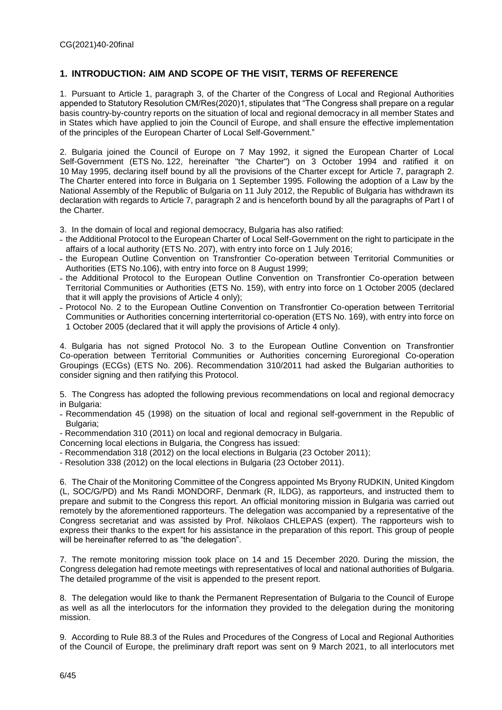### <span id="page-5-0"></span>**1. INTRODUCTION: AIM AND SCOPE OF THE VISIT, TERMS OF REFERENCE**

1. Pursuant to Article 1, paragraph 3, of the Charter of the Congress of Local and Regional Authorities appended to Statutory Resolution CM/Res(2020)1, stipulates that "The Congress shall prepare on a regular basis country-by-country reports on the situation of local and regional democracy in all member States and in States which have applied to join the Council of Europe, and shall ensure the effective implementation of the principles of the European Charter of Local Self-Government."

2. Bulgaria joined the Council of Europe on 7 May 1992, it signed the European Charter of Local Self-Government (ETS No. 122, hereinafter "the Charter") on 3 October 1994 and ratified it on 10 May 1995, declaring itself bound by all the provisions of the Charter except for Article 7, paragraph 2. The Charter entered into force in Bulgaria on 1 September 1995. Following the adoption of a Law by the National Assembly of the Republic of Bulgaria on 11 July 2012, the Republic of Bulgaria has withdrawn its declaration with regards to Article 7, paragraph 2 and is henceforth bound by all the paragraphs of Part I of the Charter.

- 3. In the domain of local and regional democracy, Bulgaria has also ratified:
- ˗ the Additional Protocol to the European Charter of Local Self-Government on the right to participate in the affairs of a local authority (ETS No. 207), with entry into force on 1 July 2016;
- the European Outline Convention on Transfrontier Co-operation between Territorial Communities or Authorities (ETS No.106), with entry into force on 8 August 1999;
- ˗ the Additional Protocol to the European Outline Convention on Transfrontier Co-operation between Territorial Communities or Authorities (ETS No. 159), with entry into force on 1 October 2005 (declared that it will apply the provisions of Article 4 only);
- ˗ Protocol No. 2 to the European Outline Convention on Transfrontier Co-operation between Territorial Communities or Authorities concerning interterritorial co-operation (ETS No. 169), with entry into force on 1 October 2005 (declared that it will apply the provisions of Article 4 only).

4. Bulgaria has not signed Protocol No. 3 to the European Outline Convention on Transfrontier Co-operation between Territorial Communities or Authorities concerning Euroregional Co-operation Groupings (ECGs) (ETS No. 206). Recommendation 310/2011 had asked the Bulgarian authorities to consider signing and then ratifying this Protocol.

5. The Congress has adopted the following previous recommendations on local and regional democracy in Bulgaria:

˗ Recommendation 45 (1998) on the situation of local and regional self-government in the Republic of Bulgaria;

- Recommendation 310 (2011) on local and regional democracy in Bulgaria.
- Concerning local elections in Bulgaria, the Congress has issued:
- Recommendation 318 (2012) on the local elections in Bulgaria (23 October 2011);

- Resolution 338 (2012) on the local elections in Bulgaria (23 October 2011).

6. The Chair of the Monitoring Committee of the Congress appointed Ms Bryony RUDKIN, United Kingdom (L, SOC/G/PD) and Ms Randi MONDORF, Denmark (R, ILDG), as rapporteurs, and instructed them to prepare and submit to the Congress this report. An official monitoring mission in Bulgaria was carried out remotely by the aforementioned rapporteurs. The delegation was accompanied by a representative of the Congress secretariat and was assisted by Prof. Nikolaos CHLEPAS (expert). The rapporteurs wish to express their thanks to the expert for his assistance in the preparation of this report. This group of people will be hereinafter referred to as "the delegation".

7. The remote monitoring mission took place on 14 and 15 December 2020. During the mission, the Congress delegation had remote meetings with representatives of local and national authorities of Bulgaria. The detailed programme of the visit is appended to the present report.

8. The delegation would like to thank the Permanent Representation of Bulgaria to the Council of Europe as well as all the interlocutors for the information they provided to the delegation during the monitoring mission.

9. According to Rule 88.3 of the Rules and Procedures of the Congress of Local and Regional Authorities of the Council of Europe, the preliminary draft report was sent on 9 March 2021, to all interlocutors met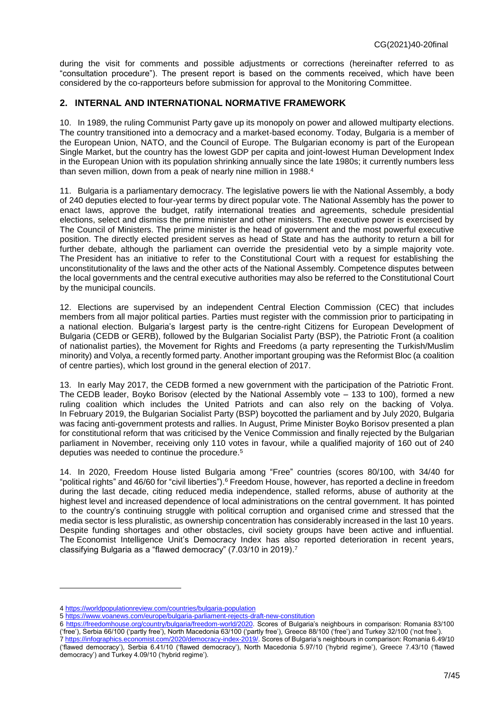during the visit for comments and possible adjustments or corrections (hereinafter referred to as "consultation procedure"). The present report is based on the comments received, which have been considered by the co-rapporteurs before submission for approval to the Monitoring Committee.

## <span id="page-6-0"></span>**2. INTERNAL AND INTERNATIONAL NORMATIVE FRAMEWORK**

10. In 1989, the ruling Communist Party gave up its monopoly on power and allowed multiparty elections. The country transitioned into a democracy and a market-based economy. Today, Bulgaria is a member of the European Union, NATO, and the Council of Europe. The Bulgarian economy is part of the European Single Market, but the country has the lowest GDP per capita and joint-lowest Human Development Index in the European Union with its population shrinking annually since the late 1980s; it currently numbers less than seven million, down from a peak of nearly nine million in 1988.<sup>4</sup>

11. Bulgaria is a parliamentary democracy. The legislative powers lie with the National Assembly, a body of 240 deputies elected to four-year terms by direct popular vote. The National Assembly has the power to enact laws, approve the budget, ratify international treaties and agreements, schedule presidential elections, select and dismiss the prime minister and other ministers. The executive power is exercised by The Council of Ministers. The prime minister is the head of government and the most powerful executive position. The directly elected president serves as head of State and has the authority to return a bill for further debate, although the parliament can override the presidential veto by a simple majority vote. The President has an initiative to refer to the Constitutional Court with a request for establishing the unconstitutionality of the laws and the other acts of the National Assembly. Competence disputes between the local governments and the central executive authorities may also be referred to the Constitutional Court by the municipal councils.

12. Elections are supervised by an independent Central Election Commission (CEC) that includes members from all major political parties. Parties must register with the commission prior to participating in a national election. Bulgaria's largest party is the centre-right Citizens for European Development of Bulgaria (CEDB or GERB), followed by the Bulgarian Socialist Party (BSP), the Patriotic Front (a coalition of nationalist parties), the Movement for Rights and Freedoms (a party representing the Turkish/Muslim minority) and Volya, a recently formed party. Another important grouping was the Reformist Bloc (a coalition of centre parties), which lost ground in the general election of 2017.

13. In early May 2017, the CEDB formed a new government with the participation of the Patriotic Front. The CEDB leader, Boyko Borisov (elected by the National Assembly vote – 133 to 100), formed a new ruling coalition which includes the United Patriots and can also rely on the backing of Volya. In February 2019, the Bulgarian Socialist Party (BSP) boycotted the parliament and by July 2020, Bulgaria was facing anti-government protests and rallies. In August, Prime Minister Boyko Borisov presented a plan for constitutional reform that was criticised by the Venice Commission and finally rejected by the Bulgarian parliament in November, receiving only 110 votes in favour, while a qualified majority of 160 out of 240 deputies was needed to continue the procedure. 5

14. In 2020, Freedom House listed Bulgaria among "Free" countries (scores 80/100, with 34/40 for "political rights" and 46/60 for "civil liberties"). <sup>6</sup> Freedom House, however, has reported a decline in freedom during the last decade, citing reduced media independence, stalled reforms, abuse of authority at the highest level and increased dependence of local administrations on the central government. It has pointed to the country's continuing struggle with political corruption and organised crime and stressed that the media sector is less pluralistic, as ownership concentration has considerably increased in the last 10 years. Despite funding shortages and other obstacles, civil society groups have been active and influential. The Economist Intelligence Unit's Democracy Index has also reported deterioration in recent years, classifying Bulgaria as a "flawed democracy" (7.03/10 in 2019). 7

<sup>4</sup> <https://worldpopulationreview.com/countries/bulgaria-population>

<sup>5</sup> <https://www.voanews.com/europe/bulgaria-parliament-rejects-draft-new-constitution>

<sup>6</sup> [https://freedomhouse.org/country/bulgaria/freedom-world/2020.](https://freedomhouse.org/country/bulgaria/freedom-world/2020) Scores of Bulgaria's neighbours in comparison: Romania 83/100 ('free'), Serbia 66/100 ('partly free'), North Macedonia 63/100 ('partly free'), Greece 88/100 ('free') and Turkey 32/100 ('not free'). 7 [https://infographics.economist.com/2020/democracy-index-2019/.](https://infographics.economist.com/2020/democracy-index-2019/) Scores of Bulgaria's neighbours in comparison: Romania 6.49/10 ('flawed democracy'), Serbia 6.41/10 ('flawed democracy'), North Macedonia 5.97/10 ('hybrid regime'), Greece 7.43/10 ('flawed

democracy') and Turkey 4.09/10 ('hybrid regime').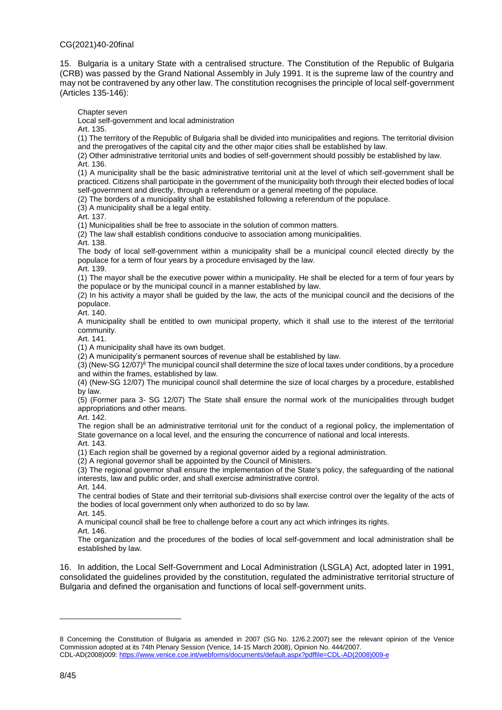15. Bulgaria is a unitary State with a centralised structure. The Constitution of the Republic of Bulgaria (CRB) was passed by the Grand National Assembly in July 1991. It is the supreme law of the country and may not be contravened by any other law. The constitution recognises the principle of local self-government (Articles 135-146):

Chapter seven

Local self-government and local administration

Art. 135.

(1) The territory of the Republic of Bulgaria shall be divided into municipalities and regions. The territorial division and the prerogatives of the capital city and the other major cities shall be established by law.

(2) Other administrative territorial units and bodies of self-government should possibly be established by law. Art. 136.

(1) A municipality shall be the basic administrative territorial unit at the level of which self-government shall be practiced. Citizens shall participate in the government of the municipality both through their elected bodies of local self-government and directly, through a referendum or a general meeting of the populace.

(2) The borders of a municipality shall be established following a referendum of the populace.

(3) A municipality shall be a legal entity.

Art. 137.

(1) Municipalities shall be free to associate in the solution of common matters.

(2) The law shall establish conditions conducive to association among municipalities.

Art. 138.

The body of local self-government within a municipality shall be a municipal council elected directly by the populace for a term of four years by a procedure envisaged by the law.

Art. 139. (1) The mayor shall be the executive power within a municipality. He shall be elected for a term of four years by the populace or by the municipal council in a manner established by law.

(2) In his activity a mayor shall be guided by the law, the acts of the municipal council and the decisions of the populace.

Art. 140.

A municipality shall be entitled to own municipal property, which it shall use to the interest of the territorial community.

Art. 141.

(1) A municipality shall have its own budget.

(2) A municipality's permanent sources of revenue shall be established by law.

(3) (New-SG 12/07)<sup>8</sup> The municipal council shall determine the size of local taxes under conditions, by a procedure and within the frames, established by law.

(4) (New-SG 12/07) The municipal council shall determine the size of local charges by a procedure, established by law.

(5) (Former para 3- SG 12/07) The State shall ensure the normal work of the municipalities through budget appropriations and other means.

Art. 142.

The region shall be an administrative territorial unit for the conduct of a regional policy, the implementation of State governance on a local level, and the ensuring the concurrence of national and local interests. Art. 143.

(1) Each region shall be governed by a regional governor aided by a regional administration.

(2) A regional governor shall be appointed by the Council of Ministers.

(3) The regional governor shall ensure the implementation of the State's policy, the safeguarding of the national interests, law and public order, and shall exercise administrative control. Art. 144.

The central bodies of State and their territorial sub-divisions shall exercise control over the legality of the acts of the bodies of local government only when authorized to do so by law.

Art. 145.

A municipal council shall be free to challenge before a court any act which infringes its rights.

Art. 146.

The organization and the procedures of the bodies of local self-government and local administration shall be established by law.

16. In addition, the Local Self-Government and Local Administration (LSGLA) Act, adopted later in 1991, consolidated the guidelines provided by the constitution, regulated the administrative territorial structure of Bulgaria and defined the organisation and functions of local self-government units.

<sup>8</sup> Concerning the Constitution of Bulgaria as amended in 2007 (SG No. 12/6.2.2007) see the relevant opinion of the Venice Commission adopted at its 74th Plenary Session (Venice, 14-15 March 2008), Opinion No. 444/2007. CDL-AD(2008)009[: https://www.venice.coe.int/webforms/documents/default.aspx?pdffile=CDL-AD\(2008\)009-e](https://www.venice.coe.int/webforms/documents/default.aspx?pdffile=CDL-AD(2008)009-e)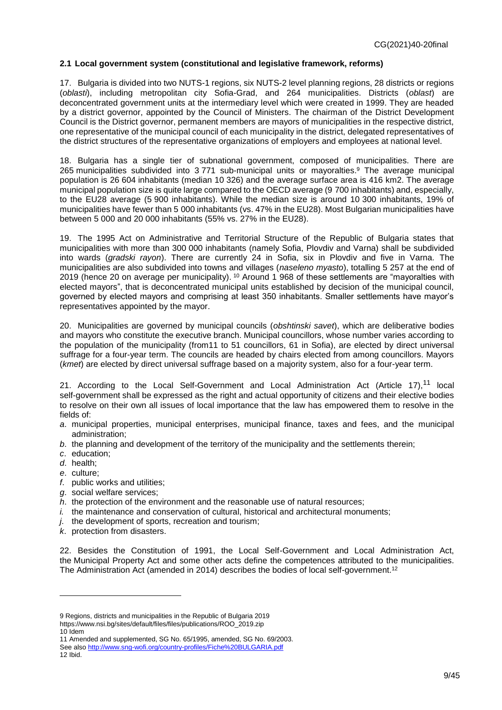### <span id="page-8-0"></span>**2.1 Local government system (constitutional and legislative framework, reforms)**

17. Bulgaria is divided into two NUTS-1 regions, six NUTS-2 level planning regions, 28 districts or regions (*oblasti*), including metropolitan city Sofia-Grad, and 264 municipalities. Districts (*oblast*) are deconcentrated government units at the intermediary level which were created in 1999. They are headed by a district governor, appointed by the Council of Ministers. The chairman of the District Development Council is the District governor, permanent members are mayors of municipalities in the respective district, one representative of the municipal council of each municipality in the district, delegated representatives of the district structures of the representative organizations of employers and employees at national level.

18. Bulgaria has a single tier of subnational government, composed of municipalities. There are 265 municipalities subdivided into 3 771 sub-municipal units or mayoralties. <sup>9</sup> The average municipal population is 26 604 inhabitants (median 10 326) and the average surface area is 416 km2. The average municipal population size is quite large compared to the OECD average (9 700 inhabitants) and, especially, to the EU28 average (5 900 inhabitants). While the median size is around 10 300 inhabitants, 19% of municipalities have fewer than 5 000 inhabitants (vs. 47% in the EU28). Most Bulgarian municipalities have between 5 000 and 20 000 inhabitants (55% vs. 27% in the EU28).

19. The 1995 Act on Administrative and Territorial Structure of the Republic of Bulgaria states that municipalities with more than 300 000 inhabitants (namely Sofia, Plovdiv and Varna) shall be subdivided into wards (*gradski rayon*). There are currently 24 in Sofia, six in Plovdiv and five in Varna. The municipalities are also subdivided into towns and villages (*naseleno myasto*), totalling 5 257 at the end of 2019 (hence 20 on average per municipality). <sup>10</sup> Around 1 968 of these settlements are "mayoralties with elected mayors", that is deconcentrated municipal units established by decision of the municipal council, governed by elected mayors and comprising at least 350 inhabitants. Smaller settlements have mayor's representatives appointed by the mayor.

20. Municipalities are governed by municipal councils (*obshtinski savet*), which are deliberative bodies and mayors who constitute the executive branch. Municipal councillors, whose number varies according to the population of the municipality (from11 to 51 councillors, 61 in Sofia), are elected by direct universal suffrage for a four-year term. The councils are headed by chairs elected from among councillors. Mayors (*kmet*) are elected by direct universal suffrage based on a majority system, also for a four-year term.

21. According to the [Local Self-Government and Local Administration Act](http://unpan1.un.org/intradoc/groups/public/documents/untc/unpan016312.pdf) (Article 17),<sup>11</sup> local self-government shall be expressed as the right and actual opportunity of citizens and their elective bodies to resolve on their own all issues of local importance that the law has empowered them to resolve in the fields of:

- *a*. municipal properties, municipal enterprises, municipal finance, taxes and fees, and the municipal administration;
- *b*. the planning and development of the territory of the municipality and the settlements therein;
- *c*. education;
- *d*. health;
- *e*. culture;

 $\overline{a}$ 

- *f*. public works and utilities;
- *g*. social welfare services;
- *h*. the protection of the environment and the reasonable use of natural resources;
- *i.* the maintenance and conservation of cultural, historical and architectural monuments;
- *j*. the development of sports, recreation and tourism;
- *k*. protection from disasters.

22. Besides the Constitution of 1991, the Local Self-Government and Local Administration Act, the Municipal Property Act and some other acts define the competences attributed to the municipalities. The Administration Act (amended in 2014) describes the bodies of local self-government.<sup>12</sup>

https://www.nsi.bg/sites/default/files/files/publications/ROO\_2019.zip 10 Idem

<sup>9</sup> Regions, districts and municipalities in the Republic of Bulgaria 2019

<sup>11</sup> Amended and supplemented, SG No. 65/1995, amended, SG No. 69/2003.

See als[o http://www.sng-wofi.org/country-profiles/Fiche%20BULGARIA.pdf](http://www.sng-wofi.org/country-profiles/Fiche%20BULGARIA.pdf) 12 Ibid.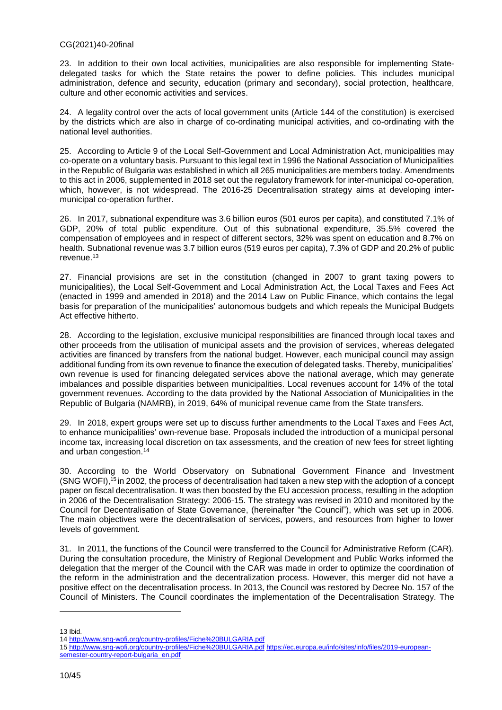23. In addition to their own local activities, municipalities are also responsible for implementing Statedelegated tasks for which the State retains the power to define policies. This includes municipal administration, defence and security, education (primary and secondary), social protection, healthcare, culture and other economic activities and services.

24. A legality control over the acts of local government units (Article 144 of the constitution) is exercised by the districts which are also in charge of co-ordinating municipal activities, and co-ordinating with the national level authorities.

25. According to Article 9 of the Local Self-Government and Local Administration Act, municipalities may co-operate on a voluntary basis. Pursuant to this legal text in 1996 the National Association of Municipalities in the Republic of Bulgaria was established in which all 265 municipalities are members today. Amendments to this act in 2006, supplemented in 2018 set out the regulatory framework for inter-municipal co-operation, which, however, is not widespread. The 2016-25 Decentralisation strategy aims at developing intermunicipal co-operation further.

26. In 2017, subnational expenditure was 3.6 billion euros (501 euros per capita), and constituted 7.1% of GDP, 20% of total public expenditure. Out of this subnational expenditure, 35.5% covered the compensation of employees and in respect of different sectors, 32% was spent on education and 8.7% on health. Subnational revenue was 3.7 billion euros (519 euros per capita), 7.3% of GDP and 20.2% of public revenue.<sup>13</sup>

27. Financial provisions are set in the constitution (changed in 2007 to grant taxing powers to municipalities), the Local Self-Government and Local Administration Act, the Local Taxes and Fees Act (enacted in 1999 and amended in 2018) and the 2014 Law on Public Finance, which contains the legal basis for preparation of the municipalities' autonomous budgets and which repeals the Municipal Budgets Act effective hitherto.

28. According to the legislation, exclusive municipal responsibilities are financed through local taxes and other proceeds from the utilisation of municipal assets and the provision of services, whereas delegated activities are financed by transfers from the national budget. However, each municipal council may assign additional funding from its own revenue to finance the execution of delegated tasks. Thereby, municipalities' own revenue is used for financing delegated services above the national average, which may generate imbalances and possible disparities between municipalities. Local revenues account for 14% of the total government revenues. According to the data provided by the National Association of Municipalities in the Republic of Bulgaria (NAMRB), in 2019, 64% of municipal revenue came from the State transfers.

29. In 2018, expert groups were set up to discuss further amendments to the Local Taxes and Fees Act, to enhance municipalities' own-revenue base. Proposals included the introduction of a municipal personal income tax, increasing local discretion on tax assessments, and the creation of new fees for street lighting and urban congestion. 14

30. According to the World Observatory on Subnational Government Finance and Investment (SNG WOFI), <sup>15</sup> in 2002, the process of decentralisation had taken a new step with the adoption of a concept paper on fiscal decentralisation. It was then boosted by the EU accession process, resulting in the adoption in 2006 of the Decentralisation Strategy: 2006-15. The strategy was revised in 2010 and monitored by the Council for Decentralisation of State Governance, (hereinafter "the Council"), which was set up in 2006. The main objectives were the decentralisation of services, powers, and resources from higher to lower levels of government.

31. In 2011, the functions of the Council were transferred to the Council for Administrative Reform (CAR). During the consultation procedure, the Ministry of Regional Development and Public Works informed the delegation that the merger of the Council with the CAR was made in order to optimize the coordination of the reform in the administration and the decentralization process. However, this merger did not have a positive effect on the decentralisation process. In 2013, the Council was restored by Decree No. 157 of the Council of Ministers. The Council coordinates the implementation of the Decentralisation Strategy. The

<sup>13</sup> Ibid.

<sup>14</sup> <http://www.sng-wofi.org/country-profiles/Fiche%20BULGARIA.pdf>

<sup>15</sup> <http://www.sng-wofi.org/country-profiles/Fiche%20BULGARIA.pdf> [https://ec.europa.eu/info/sites/info/files/2019-european](https://ec.europa.eu/info/sites/info/files/2019-european-semester-country-report-bulgaria_en.pdf)[semester-country-report-bulgaria\\_en.pdf](https://ec.europa.eu/info/sites/info/files/2019-european-semester-country-report-bulgaria_en.pdf)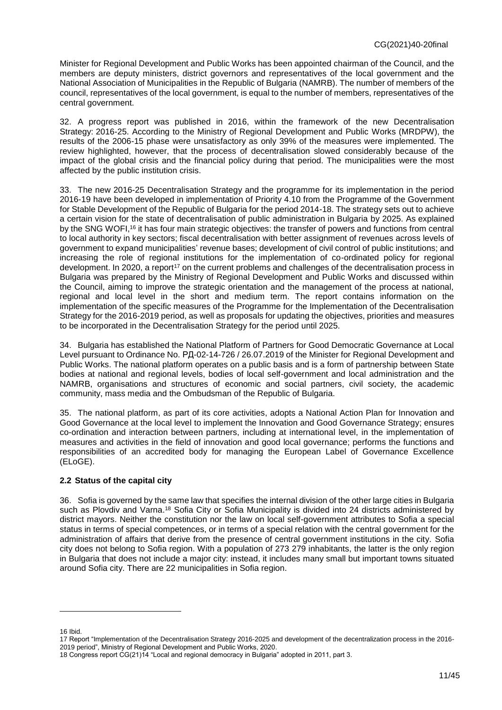Minister for Regional Development and Public Works has been appointed chairman of the Council, and the members are deputy ministers, district governors and representatives of the local government and the National Association of Municipalities in the Republic of Bulgaria (NAMRB). The number of members of the council, representatives of the local government, is equal to the number of members, representatives of the central government.

32. A progress report was published in 2016, within the framework of the new Decentralisation Strategy: 2016-25. According to the Ministry of Regional Development and Public Works (MRDPW), the results of the 2006-15 phase were unsatisfactory as only 39% of the measures were implemented. The review highlighted, however, that the process of decentralisation slowed considerably because of the impact of the global crisis and the financial policy during that period. The municipalities were the most affected by the public institution crisis.

33. The new 2016-25 Decentralisation Strategy and the programme for its implementation in the period 2016-19 have been developed in implementation of Priority 4.10 from the Programme of the Government for Stable Development of the Republic of Bulgaria for the period 2014-18. The strategy sets out to achieve a certain vision for the state of decentralisation of public administration in Bulgaria by 2025. As explained by the SNG WOFI,<sup>16</sup> it has four main strategic objectives: the transfer of powers and functions from central to local authority in key sectors; fiscal decentralisation with better assignment of revenues across levels of government to expand municipalities' revenue bases; development of civil control of public institutions; and increasing the role of regional institutions for the implementation of co-ordinated policy for regional development. In 2020, a report<sup>17</sup> on the current problems and challenges of the decentralisation process in Bulgaria was prepared by the Ministry of Regional Development and Public Works and discussed within the Council, aiming to improve the strategic orientation and the management of the process at national, regional and local level in the short and medium term. The report contains information on the implementation of the specific measures of the Programme for the Implementation of the Decentralisation Strategy for the 2016-2019 period, as well as proposals for updating the objectives, priorities and measures to be incorporated in the Decentralisation Strategy for the period until 2025.

34. Bulgaria has established the National Platform of Partners for Good Democratic Governance at Local Level pursuant to Ordinance No. РД-02-14-726 / 26.07.2019 of the Minister for Regional Development and Public Works. The national platform operates on a public basis and is a form of partnership between State bodies at national and regional levels, bodies of local self-government and local administration and the NAMRB, organisations and structures of economic and social partners, civil society, the academic community, mass media and the Ombudsman of the Republic of Bulgaria.

35. The national platform, as part of its core activities, adopts a National Action Plan for Innovation and Good Governance at the local level to implement the Innovation and Good Governance Strategy; ensures co-ordination and interaction between partners, including at international level, in the implementation of measures and activities in the field of innovation and good local governance; performs the functions and responsibilities of an accredited body for managing the European Label of Governance Excellence (ELoGE).

### <span id="page-10-0"></span>**2.2 Status of the capital city**

36. Sofia is governed by the same law that specifies the internal division of the other large cities in Bulgaria such as Plovdiv and Varna.<sup>18</sup> Sofia City or Sofia Municipality is divided into 24 districts administered by district mayors. Neither the constitution nor the law on local self-government attributes to Sofia a special status in terms of special competences, or in terms of a special relation with the central government for the administration of affairs that derive from the presence of central government institutions in the city. Sofia city does not belong to Sofia region. With a population of 273 279 inhabitants, the latter is the only region in Bulgaria that does not include a major city: instead, it includes many small but important towns situated around Sofia city. There are 22 municipalities in Sofia region.

<sup>16</sup> Ibid.

<sup>17</sup> Report "Implementation of the Decentralisation Strategy 2016-2025 and development of the decentralization process in the 2016- 2019 period", Ministry of Regional Development and Public Works, 2020.

<sup>18</sup> Congress report CG(21)14 "Local and regional democracy in Bulgaria" adopted in 2011, part 3.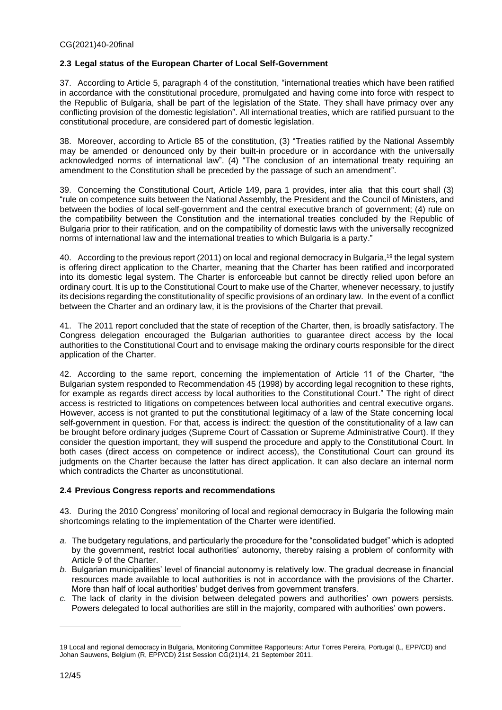### <span id="page-11-0"></span>**2.3 Legal status of the European Charter of Local Self-Government**

37. According to Article 5, paragraph 4 of the constitution, "international treaties which have been ratified in accordance with the constitutional procedure, promulgated and having come into force with respect to the Republic of Bulgaria, shall be part of the legislation of the State. They shall have primacy over any conflicting provision of the domestic legislation". All international treaties, which are ratified pursuant to the constitutional procedure, are considered part of domestic legislation.

38. Moreover, according to Article 85 of the constitution, (3) "Treaties ratified by the National Assembly may be amended or denounced only by their built-in procedure or in accordance with the universally acknowledged norms of international law". (4) "The conclusion of an international treaty requiring an amendment to the Constitution shall be preceded by the passage of such an amendment".

39. Concerning the Constitutional Court, Article 149, para 1 provides, inter alia that this court shall (3) "rule on competence suits between the National Assembly, the President and the Council of Ministers, and between the bodies of local self-government and the central executive branch of government; (4) rule on the compatibility between the Constitution and the international treaties concluded by the Republic of Bulgaria prior to their ratification, and on the compatibility of domestic laws with the universally recognized norms of international law and the international treaties to which Bulgaria is a party."

40. According to the previous report (2011) on local and regional democracy in Bulgaria,<sup>19</sup> the legal system is offering direct application to the Charter, meaning that the Charter has been ratified and incorporated into its domestic legal system. The Charter is enforceable but cannot be directly relied upon before an ordinary court. It is up to the Constitutional Court to make use of the Charter, whenever necessary, to justify its decisions regarding the constitutionality of specific provisions of an ordinary law. In the event of a conflict between the Charter and an ordinary law, it is the provisions of the Charter that prevail.

41. The 2011 report concluded that the state of reception of the Charter, then, is broadly satisfactory. The Congress delegation encouraged the Bulgarian authorities to guarantee direct access by the local authorities to the Constitutional Court and to envisage making the ordinary courts responsible for the direct application of the Charter.

42. According to the same report, concerning the implementation of Article 11 of the Charter, "the Bulgarian system responded to Recommendation 45 (1998) by according legal recognition to these rights, for example as regards direct access by local authorities to the Constitutional Court." The right of direct access is restricted to litigations on competences between local authorities and central executive organs. However, access is not granted to put the constitutional legitimacy of a law of the State concerning local self-government in question. For that, access is indirect: the question of the constitutionality of a law can be brought before ordinary judges (Supreme Court of Cassation or Supreme Administrative Court). If they consider the question important, they will suspend the procedure and apply to the Constitutional Court. In both cases (direct access on competence or indirect access), the Constitutional Court can ground its judgments on the Charter because the latter has direct application. It can also declare an internal norm which contradicts the Charter as unconstitutional.

### <span id="page-11-1"></span>**2.4 Previous Congress reports and recommendations**

43. During the 2010 Congress' monitoring of local and regional democracy in Bulgaria the following main shortcomings relating to the implementation of the Charter were identified.

- *a.* The budgetary regulations, and particularly the procedure for the "consolidated budget" which is adopted by the government, restrict local authorities' autonomy, thereby raising a problem of conformity with Article 9 of the Charter.
- *b.* Bulgarian municipalities' level of financial autonomy is relatively low. The gradual decrease in financial resources made available to local authorities is not in accordance with the provisions of the Charter. More than half of local authorities' budget derives from government transfers.
- *c.* The lack of clarity in the division between delegated powers and authorities' own powers persists. Powers delegated to local authorities are still in the majority, compared with authorities' own powers.

<sup>19</sup> Local and regional democracy in Bulgaria, Monitoring Committee Rapporteurs: Artur Torres Pereira, Portugal (L, EPP/CD) and Johan Sauwens, Belgium (R, EPP/CD) 21st Session CG(21)14, 21 September 2011.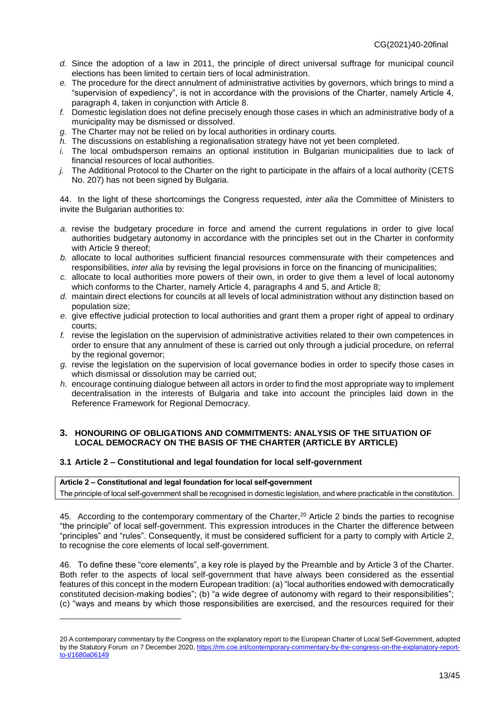- *d.* Since the adoption of a law in 2011, the principle of direct universal suffrage for municipal council elections has been limited to certain tiers of local administration.
- *e.* The procedure for the direct annulment of administrative activities by governors, which brings to mind a "supervision of expediency", is not in accordance with the provisions of the Charter, namely Article 4, paragraph 4, taken in conjunction with Article 8.
- *f.* Domestic legislation does not define precisely enough those cases in which an administrative body of a municipality may be dismissed or dissolved.
- *g.* The Charter may not be relied on by local authorities in ordinary courts.
- *h.* The discussions on establishing a regionalisation strategy have not yet been completed.
- *i.* The local ombudsperson remains an optional institution in Bulgarian municipalities due to lack of financial resources of local authorities.
- *j.* The Additional Protocol to the Charter on the right to participate in the affairs of a local authority (CETS No. 207) has not been signed by Bulgaria.

44. In the light of these shortcomings the Congress requested, *inter alia* the Committee of Ministers to invite the Bulgarian authorities to:

- *a.* revise the budgetary procedure in force and amend the current regulations in order to give local authorities budgetary autonomy in accordance with the principles set out in the Charter in conformity with Article 9 thereof:
- *b.* allocate to local authorities sufficient financial resources commensurate with their competences and responsibilities, *inter alia* by revising the legal provisions in force on the financing of municipalities;
- *c.* allocate to local authorities more powers of their own, in order to give them a level of local autonomy which conforms to the Charter, namely Article 4, paragraphs 4 and 5, and Article 8;
- *d.* maintain direct elections for councils at all levels of local administration without any distinction based on population size;
- *e.* give effective judicial protection to local authorities and grant them a proper right of appeal to ordinary courts;
- *f.* revise the legislation on the supervision of administrative activities related to their own competences in order to ensure that any annulment of these is carried out only through a judicial procedure, on referral by the regional governor;
- *g.* revise the legislation on the supervision of local governance bodies in order to specify those cases in which dismissal or dissolution may be carried out;
- *h.* encourage continuing dialogue between all actors in order to find the most appropriate way to implement decentralisation in the interests of Bulgaria and take into account the principles laid down in the Reference Framework for Regional Democracy.

#### <span id="page-12-0"></span>**3. HONOURING OF OBLIGATIONS AND COMMITMENTS: ANALYSIS OF THE SITUATION OF LOCAL DEMOCRACY ON THE BASIS OF THE CHARTER (ARTICLE BY ARTICLE)**

### <span id="page-12-1"></span>**3.1 Article 2 – Constitutional and legal foundation for local self-government**

#### **Article 2 – Constitutional and legal foundation for local self-government**

 $\overline{a}$ 

The principle of local self-government shall be recognised in domestic legislation, and where practicable in the constitution.

45. According to the contemporary commentary of the Charter,<sup>20</sup> Article 2 binds the parties to recognise "the principle" of local self-government. This expression introduces in the Charter the difference between "principles" and "rules". Consequently, it must be considered sufficient for a party to comply with Article 2, to recognise the core elements of local self-government.

46. To define these "core elements", a key role is played by the Preamble and by Article 3 of the Charter. Both refer to the aspects of local self-government that have always been considered as the essential features of this concept in the modern European tradition: (a) "local authorities endowed with democratically constituted decision-making bodies"; (b) "a wide degree of autonomy with regard to their responsibilities"; (c) "ways and means by which those responsibilities are exercised, and the resources required for their

<sup>20</sup> A contemporary commentary by the Congress on the explanatory report to the European Charter of Local Self-Government, adopted by the Statutory Forum on 7 December 2020[, https://rm.coe.int/contemporary-commentary-by-the-congress-on-the-explanatory-report](https://rm.coe.int/contemporary-commentary-by-the-congress-on-the-explanatory-report-to-t/1680a06149)[to-t/1680a06149](https://rm.coe.int/contemporary-commentary-by-the-congress-on-the-explanatory-report-to-t/1680a06149)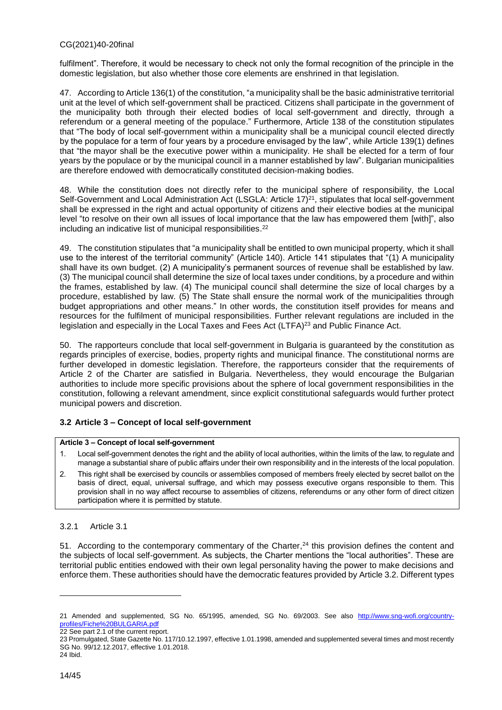fulfilment". Therefore, it would be necessary to check not only the formal recognition of the principle in the domestic legislation, but also whether those core elements are enshrined in that legislation.

47. According to Article 136(1) of the constitution, "a municipality shall be the basic administrative territorial unit at the level of which self-government shall be practiced. Citizens shall participate in the government of the municipality both through their elected bodies of local self-government and directly, through a referendum or a general meeting of the populace." Furthermore, Article 138 of the constitution stipulates that "The body of local self-government within a municipality shall be a municipal council elected directly by the populace for a term of four years by a procedure envisaged by the law", while Article 139(1) defines that "the mayor shall be the executive power within a municipality. He shall be elected for a term of four years by the populace or by the municipal council in a manner established by law". Bulgarian municipalities are therefore endowed with democratically constituted decision-making bodies.

48. While the constitution does not directly refer to the municipal sphere of responsibility, the [Local](http://unpan1.un.org/intradoc/groups/public/documents/untc/unpan016312.pdf)  [Self-Government and Local Administration Act](http://unpan1.un.org/intradoc/groups/public/documents/untc/unpan016312.pdf) (LSGLA: Article 17)<sup>21</sup>, stipulates that local self-government shall be expressed in the right and actual opportunity of citizens and their elective bodies at the municipal level "to resolve on their own all issues of local importance that the law has empowered them [with]", also including an indicative list of municipal responsibilities. 22

49. The constitution stipulates that "a municipality shall be entitled to own municipal property, which it shall use to the interest of the territorial community" (Article 140). Article 141 stipulates that "(1) A municipality shall have its own budget. (2) A municipality's permanent sources of revenue shall be established by law. (3) The municipal council shall determine the size of local taxes under conditions, by a procedure and within the frames, established by law. (4) The municipal council shall determine the size of local charges by a procedure, established by law. (5) The State shall ensure the normal work of the municipalities through budget appropriations and other means." In other words, the constitution itself provides for means and resources for the fulfilment of municipal responsibilities. Further relevant regulations are included in the legislation and especially in the Local Taxes and Fees Act (LTFA)<sup>23</sup> and Public Finance Act.

50. The rapporteurs conclude that local self-government in Bulgaria is guaranteed by the constitution as regards principles of exercise, bodies, property rights and municipal finance. The constitutional norms are further developed in domestic legislation. Therefore, the rapporteurs consider that the requirements of Article 2 of the Charter are satisfied in Bulgaria. Nevertheless, they would encourage the Bulgarian authorities to include more specific provisions about the sphere of local government responsibilities in the constitution, following a relevant amendment, since explicit constitutional safeguards would further protect municipal powers and discretion.

### <span id="page-13-0"></span>**3.2 Article 3 – Concept of local self-government**

#### **Article 3 – Concept of local self-government**

- 1. Local self-government denotes the right and the ability of local authorities, within the limits of the law, to regulate and manage a substantial share of public affairs under their own responsibility and in the interests of the local population.
- 2. This right shall be exercised by councils or assemblies composed of members freely elected by secret ballot on the basis of direct, equal, universal suffrage, and which may possess executive organs responsible to them. This provision shall in no way affect recourse to assemblies of citizens, referendums or any other form of direct citizen participation where it is permitted by statute.

### 3.2.1 Article 3.1

51. According to the contemporary commentary of the Charter,<sup>24</sup> this provision defines the content and the subjects of local self-government. As subjects, the Charter mentions the "local authorities". These are territorial public entities endowed with their own legal personality having the power to make decisions and enforce them. These authorities should have the democratic features provided by Article 3.2. Different types

<sup>21</sup> Amended and supplemented, SG No. 65/1995, amended, SG No. 69/2003. See also [http://www.sng-wofi.org/country](http://www.sng-wofi.org/country-profiles/Fiche%20BULGARIA.pdf)[profiles/Fiche%20BULGARIA.pdf](http://www.sng-wofi.org/country-profiles/Fiche%20BULGARIA.pdf) 22 See part 2.1 of the current report.

<sup>23</sup> Promulgated, State Gazette No. 117/10.12.1997, effective 1.01.1998, amended and supplemented several times and most recently SG No. 99/12.12.2017, effective 1.01.2018. 24 Ibid.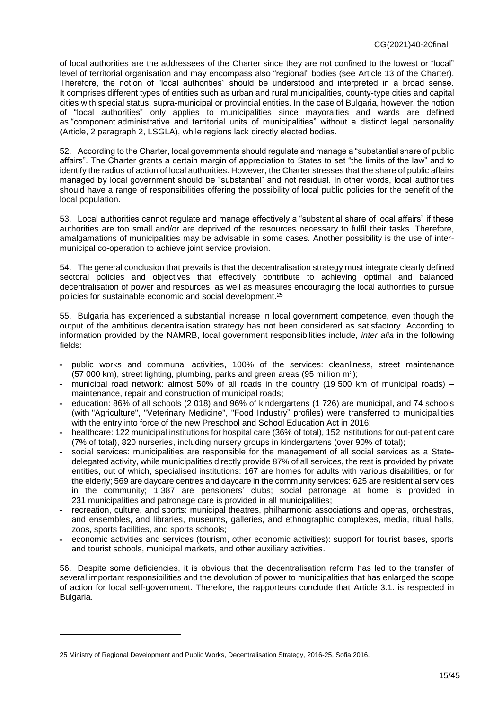of local authorities are the addressees of the Charter since they are not confined to the lowest or "local" level of territorial organisation and may encompass also "regional" bodies (see Article 13 of the Charter). Therefore, the notion of "local authorities" should be understood and interpreted in a broad sense. It comprises different types of entities such as urban and rural municipalities, county-type cities and capital cities with special status, supra-municipal or provincial entities. In the case of Bulgaria, however, the notion of "local authorities" only applies to municipalities since mayoralties and wards are defined as "component administrative and territorial units of municipalities" without a distinct legal personality (Article, 2 paragraph 2, LSGLA), while regions lack directly elected bodies.

52. According to the Charter, local governments should regulate and manage a "substantial share of public affairs". The Charter grants a certain margin of appreciation to States to set "the limits of the law" and to identify the radius of action of local authorities. However, the Charter stresses that the share of public affairs managed by local government should be "substantial" and not residual. In other words, local authorities should have a range of responsibilities offering the possibility of local public policies for the benefit of the local population.

53. Local authorities cannot regulate and manage effectively a "substantial share of local affairs" if these authorities are too small and/or are deprived of the resources necessary to fulfil their tasks. Therefore, amalgamations of municipalities may be advisable in some cases. Another possibility is the use of intermunicipal co-operation to achieve joint service provision.

54. The general conclusion that prevails is that the decentralisation strategy must integrate clearly defined sectoral policies and objectives that effectively contribute to achieving optimal and balanced decentralisation of power and resources, as well as measures encouraging the local authorities to pursue policies for sustainable economic and social development. 25

55. Bulgaria has experienced a substantial increase in local government competence, even though the output of the ambitious decentralisation strategy has not been considered as satisfactory. According to information provided by the NAMRB, local government responsibilities include, *inter alia* in the following fields:

- **-** public works and communal activities, 100% of the services: cleanliness, street maintenance (57 000 km), street lighting, plumbing, parks and green areas (95 million m<sup>2</sup> );
- **-** municipal road network: almost 50% of all roads in the country (19 500 km of municipal roads) maintenance, repair and construction of municipal roads;
- **-** education: 86% of all schools (2 018) and 96% of kindergartens (1 726) are municipal, and 74 schools (with "Agriculture", "Veterinary Medicine", "Food Industry" profiles) were transferred to municipalities with the entry into force of the new Preschool and School Education Act in 2016;
- **-** healthcare: 122 municipal institutions for hospital care (36% of total), 152 institutions for out-patient care (7% of total), 820 nurseries, including nursery groups in kindergartens (over 90% of total);
- **-** social services: municipalities are responsible for the management of all social services as a Statedelegated activity, while municipalities directly provide 87% of all services, the rest is provided by private entities, out of which, specialised institutions: 167 are homes for adults with various disabilities, or for the elderly; 569 are daycare centres and daycare in the community services: 625 are residential services in the community; 1 387 are pensioners' clubs; social patronage at home is provided in 231 municipalities and patronage care is provided in all municipalities;
- **-** recreation, culture, and sports: municipal theatres, philharmonic associations and operas, orchestras, and ensembles, and libraries, museums, galleries, and ethnographic complexes, media, ritual halls, zoos, sports facilities, and sports schools;
- **-** economic activities and services (tourism, other economic activities): support for tourist bases, sports and tourist schools, municipal markets, and other auxiliary activities.

56. Despite some deficiencies, it is obvious that the decentralisation reform has led to the transfer of several important responsibilities and the devolution of power to municipalities that has enlarged the scope of action for local self-government. Therefore, the rapporteurs conclude that Article 3.1. is respected in Bulgaria.

<sup>25</sup> Ministry of Regional Development and Public Works, Decentralisation Strategy, 2016-25, Sofia 2016.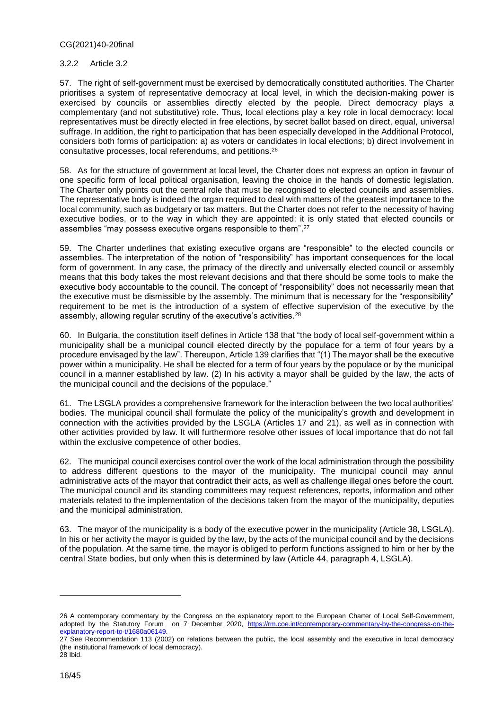#### 3.2.2 Article 3.2

57. The right of self-government must be exercised by democratically constituted authorities. The Charter prioritises a system of representative democracy at local level, in which the decision-making power is exercised by councils or assemblies directly elected by the people. Direct democracy plays a complementary (and not substitutive) role. Thus, local elections play a key role in local democracy: local representatives must be directly elected in free elections, by secret ballot based on direct, equal, universal suffrage. In addition, the right to participation that has been especially developed in the Additional Protocol, considers both forms of participation: a) as voters or candidates in local elections; b) direct involvement in consultative processes, local referendums, and petitions. 26

58. As for the structure of government at local level, the Charter does not express an option in favour of one specific form of local political organisation, leaving the choice in the hands of domestic legislation. The Charter only points out the central role that must be recognised to elected councils and assemblies. The representative body is indeed the organ required to deal with matters of the greatest importance to the local community, such as budgetary or tax matters. But the Charter does not refer to the necessity of having executive bodies, or to the way in which they are appointed: it is only stated that elected councils or assemblies "may possess executive organs responsible to them". 27

59. The Charter underlines that existing executive organs are "responsible" to the elected councils or assemblies. The interpretation of the notion of "responsibility" has important consequences for the local form of government. In any case, the primacy of the directly and universally elected council or assembly means that this body takes the most relevant decisions and that there should be some tools to make the executive body accountable to the council. The concept of "responsibility" does not necessarily mean that the executive must be dismissible by the assembly. The minimum that is necessary for the "responsibility" requirement to be met is the introduction of a system of effective supervision of the executive by the assembly, allowing regular scrutiny of the executive's activities.<sup>28</sup>

60. In Bulgaria, the constitution itself defines in Article 138 that "the body of local self-government within a municipality shall be a municipal council elected directly by the populace for a term of four years by a procedure envisaged by the law". Thereupon, Article 139 clarifies that "(1) The mayor shall be the executive power within a municipality. He shall be elected for a term of four years by the populace or by the municipal council in a manner established by law. (2) In his activity a mayor shall be guided by the law, the acts of the municipal council and the decisions of the populace."

61. The LSGLA provides a comprehensive framework for the interaction between the two local authorities' bodies. The municipal council shall formulate the policy of the municipality's growth and development in connection with the activities provided by the LSGLA (Articles 17 and 21), as well as in connection with other activities provided by law. It will furthermore resolve other issues of local importance that do not fall within the exclusive competence of other bodies.

62. The municipal council exercises control over the work of the local administration through the possibility to address different questions to the mayor of the municipality. The municipal council may annul administrative acts of the mayor that contradict their acts, as well as challenge illegal ones before the court. The municipal council and its standing committees may request references, reports, information and other materials related to the implementation of the decisions taken from the mayor of the municipality, deputies and the municipal administration.

63. The mayor of the municipality is a body of the executive power in the municipality (Article 38, LSGLA). In his or her activity the mayor is guided by the law, by the acts of the municipal council and by the decisions of the population. At the same time, the mayor is obliged to perform functions assigned to him or her by the central State bodies, but only when this is determined by law (Article 44, paragraph 4, LSGLA).

<sup>26</sup> A contemporary commentary by the Congress on the explanatory report to the European Charter of Local Self-Government, adopted by the Statutory Forum on 7 December 2020, [https://rm.coe.int/contemporary-commentary-by-the-congress-on-the](https://rm.coe.int/contemporary-commentary-by-the-congress-on-the-explanatory-report-to-t/1680a06149)[explanatory-report-to-t/1680a06149.](https://rm.coe.int/contemporary-commentary-by-the-congress-on-the-explanatory-report-to-t/1680a06149)

<sup>27</sup> See Recommendation 113 (2002) on relations between the public, the local assembly and the executive in local democracy (the institutional framework of local democracy). 28 Ibid.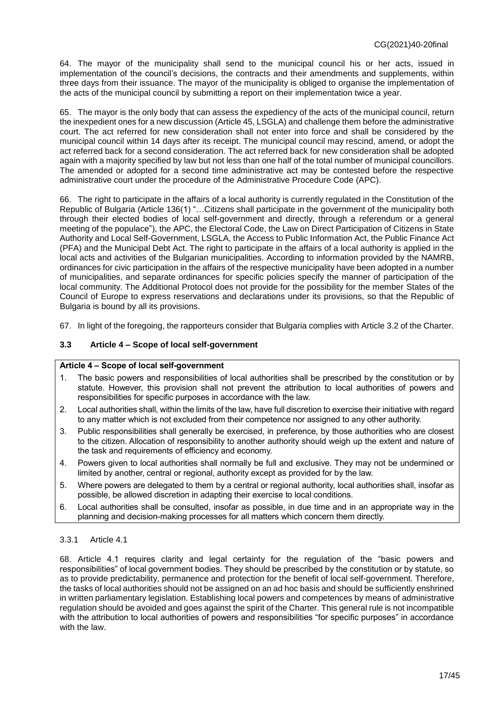64. The mayor of the municipality shall send to the municipal council his or her acts, issued in implementation of the council's decisions, the contracts and their amendments and supplements, within three days from their issuance. The mayor of the municipality is obliged to organise the implementation of the acts of the municipal council by submitting a report on their implementation twice a year.

65. The mayor is the only body that can assess the expediency of the acts of the municipal council, return the inexpedient ones for a new discussion (Article 45, LSGLA) and challenge them before the administrative court. The act referred for new consideration shall not enter into force and shall be considered by the municipal council within 14 days after its receipt. The municipal council may rescind, amend, or adopt the act referred back for a second consideration. The act referred back for new consideration shall be adopted again with a majority specified by law but not less than one half of the total number of municipal councillors. The amended or adopted for a second time administrative act may be contested before the respective administrative court under the procedure of the Administrative Procedure Code (APC).

66. The right to participate in the affairs of a local authority is currently regulated in the Constitution of the Republic of Bulgaria (Article 136(1) "…Citizens shall participate in the government of the municipality both through their elected bodies of local self-government and directly, through a referendum or a general meeting of the populace"), the APC, the Electoral Code, the Law on Direct Participation of Citizens in State Authority and Local Self-Government, LSGLA, the Access to Public Information Act, the Public Finance Act (PFA) and the Municipal Debt Act. The right to participate in the affairs of a local authority is applied in the local acts and activities of the Bulgarian municipalities. According to information provided by the NAMRB, ordinances for civic participation in the affairs of the respective municipality have been adopted in a number of municipalities, and separate ordinances for specific policies specify the manner of participation of the local community. The Additional Protocol does not provide for the possibility for the member States of the Council of Europe to express reservations and declarations under its provisions, so that the Republic of Bulgaria is bound by all its provisions.

67. In light of the foregoing, the rapporteurs consider that Bulgaria complies with Article 3.2 of the Charter.

### <span id="page-16-0"></span>**3.3 Article 4 – Scope of local self-government**

### **Article 4 – Scope of local self-government**

- 1. The basic powers and responsibilities of local authorities shall be prescribed by the constitution or by statute. However, this provision shall not prevent the attribution to local authorities of powers and responsibilities for specific purposes in accordance with the law.
- 2. Local authorities shall, within the limits of the law, have full discretion to exercise their initiative with regard to any matter which is not excluded from their competence nor assigned to any other authority.
- 3. Public responsibilities shall generally be exercised, in preference, by those authorities who are closest to the citizen. Allocation of responsibility to another authority should weigh up the extent and nature of the task and requirements of efficiency and economy.
- 4. Powers given to local authorities shall normally be full and exclusive. They may not be undermined or limited by another, central or regional, authority except as provided for by the law.
- 5. Where powers are delegated to them by a central or regional authority, local authorities shall, insofar as possible, be allowed discretion in adapting their exercise to local conditions.
- 6. Local authorities shall be consulted, insofar as possible, in due time and in an appropriate way in the planning and decision-making processes for all matters which concern them directly.

### 3.3.1 Article 4.1

68. Article 4.1 requires clarity and legal certainty for the regulation of the "basic powers and responsibilities" of local government bodies. They should be prescribed by the constitution or by statute, so as to provide predictability, permanence and protection for the benefit of local self-government. Therefore, the tasks of local authorities should not be assigned on an ad hoc basis and should be sufficiently enshrined in written parliamentary legislation. Establishing local powers and competences by means of administrative regulation should be avoided and goes against the spirit of the Charter. This general rule is not incompatible with the attribution to local authorities of powers and responsibilities "for specific purposes" in accordance with the law.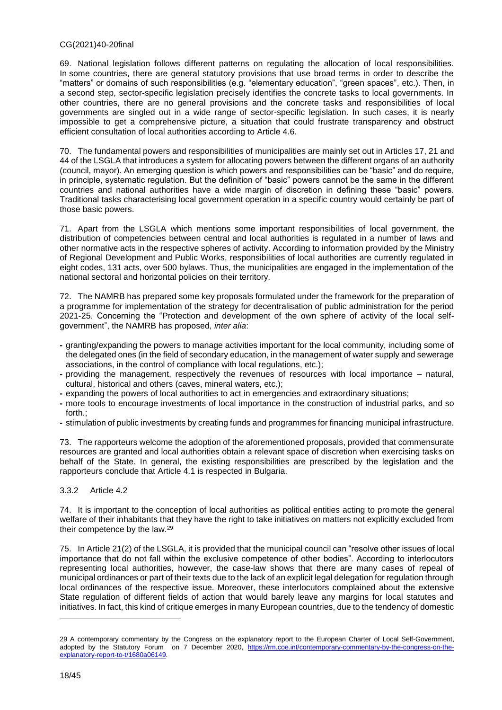69. National legislation follows different patterns on regulating the allocation of local responsibilities. In some countries, there are general statutory provisions that use broad terms in order to describe the "matters" or domains of such responsibilities (e.g. "elementary education", "green spaces", etc.). Then, in a second step, sector-specific legislation precisely identifies the concrete tasks to local governments. In other countries, there are no general provisions and the concrete tasks and responsibilities of local governments are singled out in a wide range of sector-specific legislation. In such cases, it is nearly impossible to get a comprehensive picture, a situation that could frustrate transparency and obstruct efficient consultation of local authorities according to Article 4.6.

70. Τhe fundamental powers and responsibilities of municipalities are mainly set out in Articles 17, 21 and 44 of the LSGLA that introduces a system for allocating powers between the different organs of an authority (council, mayor). An emerging question is which powers and responsibilities can be "basic" and do require, in principle, systematic regulation. But the definition of "basic" powers cannot be the same in the different countries and national authorities have a wide margin of discretion in defining these "basic" powers. Traditional tasks characterising local government operation in a specific country would certainly be part of those basic powers.

71. Apart from the LSGLA which mentions some important responsibilities of local government, the distribution of competencies between central and local authorities is regulated in a number of laws and other normative acts in the respective spheres of activity. According to information provided by the Ministry of Regional Development and Public Works, responsibilities of local authorities are currently regulated in eight codes, 131 acts, over 500 bylaws. Thus, the municipalities are engaged in the implementation of the national sectoral and horizontal policies on their territory.

72. The NAMRB has prepared some key proposals formulated under the framework for the preparation of a programme for implementation of the strategy for decentralisation of public administration for the period 2021-25. Concerning the "Protection and development of the own sphere of activity of the local selfgovernment", the NAMRB has proposed, *inter alia*:

- **-** granting/expanding the powers to manage activities important for the local community, including some of the delegated ones (in the field of secondary education, in the management of water supply and sewerage associations, in the control of compliance with local regulations, etc.);
- **-** providing the management, respectively the revenues of resources with local importance natural, cultural, historical and others (caves, mineral waters, etc.);
- **-** expanding the powers of local authorities to act in emergencies and extraordinary situations;
- **-** more tools to encourage investments of local importance in the construction of industrial parks, and so forth.;
- **-** stimulation of public investments by creating funds and programmes for financing municipal infrastructure.

73. The rapporteurs welcome the adoption of the aforementioned proposals, provided that commensurate resources are granted and local authorities obtain a relevant space of discretion when exercising tasks on behalf of the State. In general, the existing responsibilities are prescribed by the legislation and the rapporteurs conclude that Article 4.1 is respected in Bulgaria.

#### 3.3.2 Article 4.2

74. It is important to the conception of local authorities as political entities acting to promote the general welfare of their inhabitants that they have the right to take initiatives on matters not explicitly excluded from their competence by the law.<sup>29</sup>

75. In Article 21(2) of the LSGLA, it is provided that the municipal council can "resolve other issues of local importance that do not fall within the exclusive competence of other bodies". According to interlocutors representing local authorities, however, the case-law shows that there are many cases of repeal of municipal ordinances or part of their texts due to the lack of an explicit legal delegation for regulation through local ordinances of the respective issue. Moreover, these interlocutors complained about the extensive State regulation of different fields of action that would barely leave any margins for local statutes and initiatives. In fact, this kind of critique emerges in many European countries, due to the tendency of domestic

<sup>29</sup> A contemporary commentary by the Congress on the explanatory report to the European Charter of Local Self-Government, adopted by the Statutory Forum on 7 December 2020, [https://rm.coe.int/contemporary-commentary-by-the-congress-on-the](https://rm.coe.int/contemporary-commentary-by-the-congress-on-the-explanatory-report-to-t/1680a06149)[explanatory-report-to-t/1680a06149.](https://rm.coe.int/contemporary-commentary-by-the-congress-on-the-explanatory-report-to-t/1680a06149)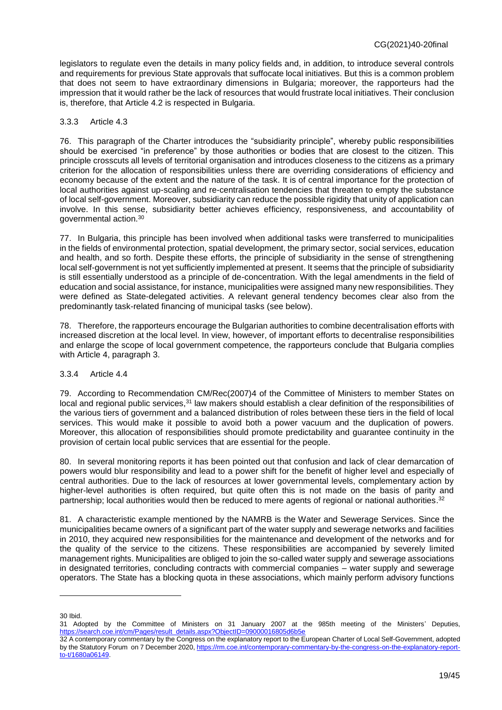legislators to regulate even the details in many policy fields and, in addition, to introduce several controls and requirements for previous State approvals that suffocate local initiatives. But this is a common problem that does not seem to have extraordinary dimensions in Bulgaria; moreover, the rapporteurs had the impression that it would rather be the lack of resources that would frustrate local initiatives. Their conclusion is, therefore, that Article 4.2 is respected in Bulgaria.

#### 3.3.3 Article 4.3

76. This paragraph of the Charter introduces the "subsidiarity principle", whereby public responsibilities should be exercised "in preference" by those authorities or bodies that are closest to the citizen. This principle crosscuts all levels of territorial organisation and introduces closeness to the citizens as a primary criterion for the allocation of responsibilities unless there are overriding considerations of efficiency and economy because of the extent and the nature of the task. It is of central importance for the protection of local authorities against up-scaling and re-centralisation tendencies that threaten to empty the substance of local self-government. Moreover, subsidiarity can reduce the possible rigidity that unity of application can involve. In this sense, subsidiarity better achieves efficiency, responsiveness, and accountability of governmental action. 30

77. In Bulgaria, this principle has been involved when additional tasks were transferred to municipalities in the fields of environmental protection, spatial development, the primary sector, social services, education and health, and so forth. Despite these efforts, the principle of subsidiarity in the sense of strengthening local self-government is not yet sufficiently implemented at present. It seems that the principle of subsidiarity is still essentially understood as a principle of de-concentration. With the legal amendments in the field of education and social assistance, for instance, municipalities were assigned many new responsibilities. They were defined as State-delegated activities. A relevant general tendency becomes clear also from the predominantly task-related financing of municipal tasks (see below).

78. Therefore, the rapporteurs encourage the Bulgarian authorities to combine decentralisation efforts with increased discretion at the local level. In view, however, of important efforts to decentralise responsibilities and enlarge the scope of local government competence, the rapporteurs conclude that Bulgaria complies with Article 4, paragraph 3.

#### 3.3.4 Article 4.4

79. According to Recommendation CM/Rec(2007)4 of the Committee of Ministers to member States on local and regional public services,<sup>31</sup> law makers should establish a clear definition of the responsibilities of the various tiers of government and a balanced distribution of roles between these tiers in the field of local services. This would make it possible to avoid both a power vacuum and the duplication of powers. Moreover, this allocation of responsibilities should promote predictability and guarantee continuity in the provision of certain local public services that are essential for the people.

80. In several monitoring reports it has been pointed out that confusion and lack of clear demarcation of powers would blur responsibility and lead to a power shift for the benefit of higher level and especially of central authorities. Due to the lack of resources at lower governmental levels, complementary action by higher-level authorities is often required, but quite often this is not made on the basis of parity and partnership; local authorities would then be reduced to mere agents of regional or national authorities.<sup>32</sup>

81. A characteristic example mentioned by the NAMRB is the Water and Sewerage Services. Since the municipalities became owners of a significant part of the water supply and sewerage networks and facilities in 2010, they acquired new responsibilities for the maintenance and development of the networks and for the quality of the service to the citizens. These responsibilities are accompanied by severely limited management rights. Municipalities are obliged to join the so-called water supply and sewerage associations in designated territories, concluding contracts with commercial companies – water supply and sewerage operators. The State has a blocking quota in these associations, which mainly perform advisory functions

<sup>30</sup> Ibid.

<sup>31</sup> Adopted by the Committee of Ministers on 31 January 2007 at the 985th meeting of the Ministers' Deputies, [https://search.coe.int/cm/Pages/result\\_details.aspx?ObjectID=09000016805d6b5e](https://search.coe.int/cm/Pages/result_details.aspx?ObjectID=09000016805d6b5e) 

<sup>32</sup> A contemporary commentary by the Congress on the explanatory report to the European Charter of Local Self-Government, adopted by the Statutory Forum on 7 December 2020[, https://rm.coe.int/contemporary-commentary-by-the-congress-on-the-explanatory-report](https://rm.coe.int/contemporary-commentary-by-the-congress-on-the-explanatory-report-to-t/1680a06149)[to-t/1680a06149.](https://rm.coe.int/contemporary-commentary-by-the-congress-on-the-explanatory-report-to-t/1680a06149)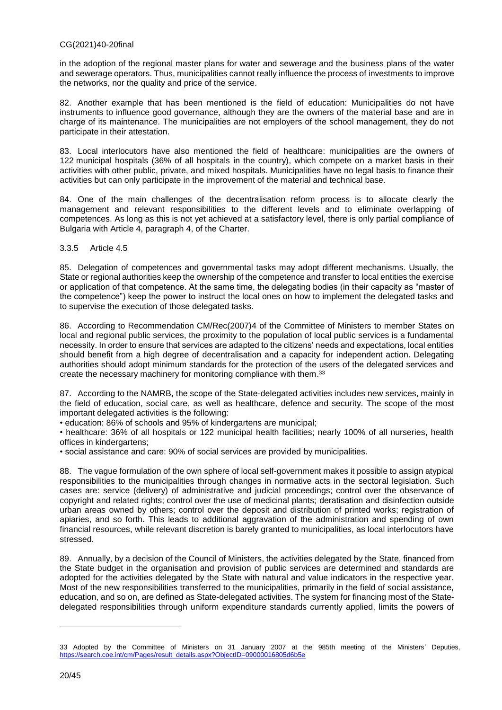in the adoption of the regional master plans for water and sewerage and the business plans of the water and sewerage operators. Thus, municipalities cannot really influence the process of investments to improve the networks, nor the quality and price of the service.

82. Another example that has been mentioned is the field of education: Municipalities do not have instruments to influence good governance, although they are the owners of the material base and are in charge of its maintenance. The municipalities are not employers of the school management, they do not participate in their attestation.

83. Local interlocutors have also mentioned the field of healthcare: municipalities are the owners of 122 municipal hospitals (36% of all hospitals in the country), which compete on a market basis in their activities with other public, private, and mixed hospitals. Municipalities have no legal basis to finance their activities but can only participate in the improvement of the material and technical base.

84. One of the main challenges of the decentralisation reform process is to allocate clearly the management and relevant responsibilities to the different levels and to eliminate overlapping of competences. As long as this is not yet achieved at a satisfactory level, there is only partial compliance of Bulgaria with Article 4, paragraph 4, of the Charter.

3.3.5 Article 4.5

85. Delegation of competences and governmental tasks may adopt different mechanisms. Usually, the State or regional authorities keep the ownership of the competence and transfer to local entities the exercise or application of that competence. At the same time, the delegating bodies (in their capacity as "master of the competence") keep the power to instruct the local ones on how to implement the delegated tasks and to supervise the execution of those delegated tasks.

86. According to Recommendation CM/Rec(2007)4 of the Committee of Ministers to member States on local and regional public services, the proximity to the population of local public services is a fundamental necessity. In order to ensure that services are adapted to the citizens' needs and expectations, local entities should benefit from a high degree of decentralisation and a capacity for independent action. Delegating authorities should adopt minimum standards for the protection of the users of the delegated services and create the necessary machinery for monitoring compliance with them.<sup>33</sup>

87. According to the NAMRB, the scope of the State-delegated activities includes new services, mainly in the field of education, social care, as well as healthcare, defence and security. The scope of the most important delegated activities is the following:

• education: 86% of schools and 95% of kindergartens are municipal;

• healthcare: 36% of all hospitals or 122 municipal health facilities; nearly 100% of all nurseries, health offices in kindergartens;

• social assistance and care: 90% of social services are provided by municipalities.

88. The vague formulation of the own sphere of local self-government makes it possible to assign atypical responsibilities to the municipalities through changes in normative acts in the sectoral legislation. Such cases are: service (delivery) of administrative and judicial proceedings; control over the observance of copyright and related rights; control over the use of medicinal plants; deratisation and disinfection outside urban areas owned by others; control over the deposit and distribution of printed works; registration of apiaries, and so forth. This leads to additional aggravation of the administration and spending of own financial resources, while relevant discretion is barely granted to municipalities, as local interlocutors have stressed.

89. Annually, by a decision of the Council of Ministers, the activities delegated by the State, financed from the State budget in the organisation and provision of public services are determined and standards are adopted for the activities delegated by the State with natural and value indicators in the respective year. Most of the new responsibilities transferred to the municipalities, primarily in the field of social assistance, education, and so on, are defined as State-delegated activities. The system for financing most of the Statedelegated responsibilities through uniform expenditure standards currently applied, limits the powers of

<sup>33</sup> Adopted by the Committee of Ministers on 31 January 2007 at the 985th meeting of the Ministers' Deputies[,](https://search.coe.int/cm/Pages/result_details.aspx?ObjectID=09000016805d6b5e) [https://search.coe.int/cm/Pages/result\\_details.aspx?ObjectID=09000016805d6b5e](https://search.coe.int/cm/Pages/result_details.aspx?ObjectID=09000016805d6b5e)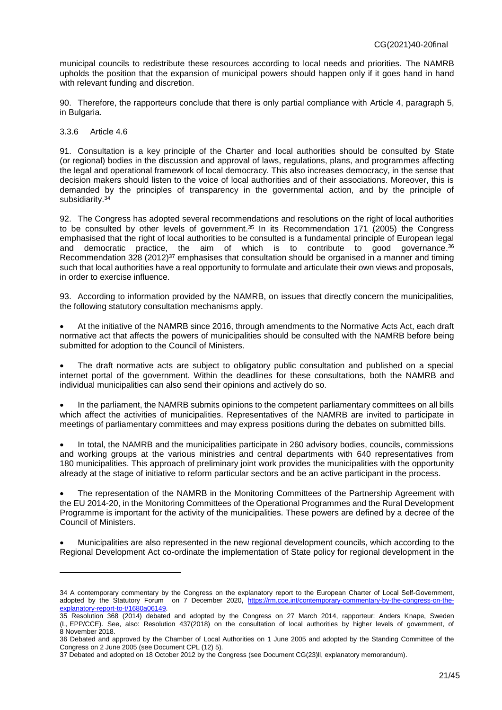municipal councils to redistribute these resources according to local needs and priorities. The NAMRB upholds the position that the expansion of municipal powers should happen only if it goes hand in hand with relevant funding and discretion.

90. Therefore, the rapporteurs conclude that there is only partial compliance with Article 4, paragraph 5, in Bulgaria.

#### 3.3.6 Article 4.6

 $\overline{a}$ 

91. Consultation is a key principle of the Charter and local authorities should be consulted by State (or regional) bodies in the discussion and approval of laws, regulations, plans, and programmes affecting the legal and operational framework of local democracy. This also increases democracy, in the sense that decision makers should listen to the voice of local authorities and of their associations. Moreover, this is demanded by the principles of transparency in the governmental action, and by the principle of subsidiarity.<sup>34</sup>

92. The Congress has adopted several recommendations and resolutions on the right of local authorities to be consulted by other levels of government.<sup>35</sup> In its Recommendation 171 (2005) the Congress emphasised that the right of local authorities to be consulted is a fundamental principle of European legal and democratic practice, the aim of which is to contribute to good governance. 36 Recommendation 328 (2012)<sup>37</sup> emphasises that consultation should be organised in a manner and timing such that local authorities have a real opportunity to formulate and articulate their own views and proposals, in order to exercise influence.

93. According to information provided by the NAMRB, on issues that directly concern the municipalities, the following statutory consultation mechanisms apply.

 At the initiative of the NAMRB since 2016, through amendments to the Normative Acts Act, each draft normative act that affects the powers of municipalities should be consulted with the NAMRB before being submitted for adoption to the Council of Ministers.

 The draft normative acts are subject to obligatory public consultation and published on a special internet portal of the government. Within the deadlines for these consultations, both the NAMRB and individual municipalities can also send their opinions and actively do so.

 In the parliament, the NAMRB submits opinions to the competent parliamentary committees on all bills which affect the activities of municipalities. Representatives of the NAMRB are invited to participate in meetings of parliamentary committees and may express positions during the debates on submitted bills.

 In total, the NAMRB and the municipalities participate in 260 advisory bodies, councils, commissions and working groups at the various ministries and central departments with 640 representatives from 180 municipalities. This approach of preliminary joint work provides the municipalities with the opportunity already at the stage of initiative to reform particular sectors and be an active participant in the process.

 The representation of the NAMRB in the Monitoring Committees of the Partnership Agreement with the EU 2014-20, in the Monitoring Committees of the Operational Programmes and the Rural Development Programme is important for the activity of the municipalities. These powers are defined by a decree of the Council of Ministers.

 Municipalities are also represented in the new regional development councils, which according to the Regional Development Act co-ordinate the implementation of State policy for regional development in the

<sup>34</sup> A contemporary commentary by the Congress on the explanatory report to the European Charter of Local Self-Government, adopted by the Statutory Forum on 7 December 2020, [https://rm.coe.int/contemporary-commentary-by-the-congress-on-the](https://rm.coe.int/contemporary-commentary-by-the-congress-on-the-explanatory-report-to-t/1680a06149)[explanatory-report-to-t/1680a06149.](https://rm.coe.int/contemporary-commentary-by-the-congress-on-the-explanatory-report-to-t/1680a06149)

<sup>35</sup> Resolution 368 (2014) debated and adopted by the Congress on 27 March 2014, rapporteur: Anders Knape, Sweden (L, EPP/CCE). See, also: Resolution 437(2018) on the consultation of local authorities by higher levels of government, of 8 November 2018.

<sup>36</sup> Debated and approved by the Chamber of Local Authorities on 1 June 2005 and adopted by the Standing Committee of the Congress on 2 June 2005 (see Document CPL (12) 5).

<sup>37</sup> Debated and adopted on 18 October 2012 by the Congress (see Document CG(23)ll, explanatory memorandum).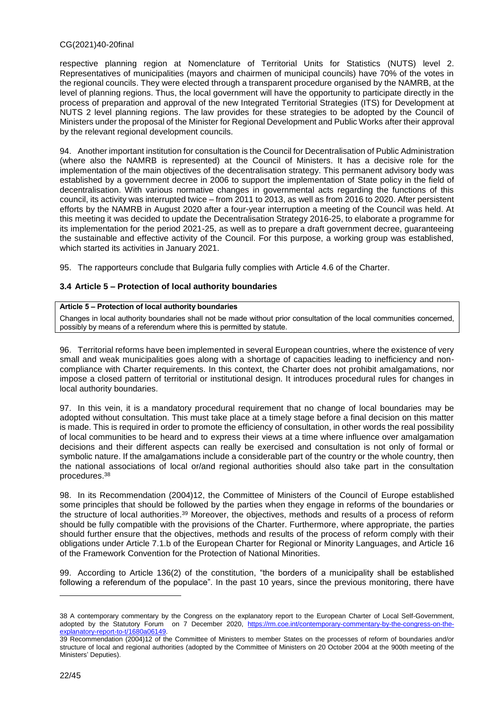respective planning region at Nomenclature of Territorial Units for Statistics (NUTS) level 2. Representatives of municipalities (mayors and chairmen of municipal councils) have 70% of the votes in the regional councils. They were elected through a transparent procedure organised by the NAMRB, at the level of planning regions. Thus, the local government will have the opportunity to participate directly in the process of preparation and approval of the new Integrated Territorial Strategies (ITS) for Development at NUTS 2 level planning regions. The law provides for these strategies to be adopted by the Council of Ministers under the proposal of the Minister for Regional Development and Public Works after their approval by the relevant regional development councils.

94. Another important institution for consultation is the Council for Decentralisation of Public Administration (where also the NAMRB is represented) at the Council of Ministers. It has a decisive role for the implementation of the main objectives of the decentralisation strategy. This permanent advisory body was established by a government decree in 2006 to support the implementation of State policy in the field of decentralisation. With various normative changes in governmental acts regarding the functions of this council, its activity was interrupted twice – from 2011 to 2013, as well as from 2016 to 2020. After persistent efforts by the NAMRB in August 2020 after a four-year interruption a meeting of the Council was held. At this meeting it was decided to update the Decentralisation Strategy 2016-25, to elaborate a programme for its implementation for the period 2021-25, as well as to prepare a draft government decree, guaranteeing the sustainable and effective activity of the Council. For this purpose, a working group was established, which started its activities in January 2021.

95. The rapporteurs conclude that Bulgaria fully complies with Article 4.6 of the Charter.

### <span id="page-21-0"></span>**3.4 Article 5 – Protection of local authority boundaries**

#### **Article 5 – Protection of local authority boundaries**

Changes in local authority boundaries shall not be made without prior consultation of the local communities concerned, possibly by means of a referendum where this is permitted by statute.

96. Territorial reforms have been implemented in several European countries, where the existence of very small and weak municipalities goes along with a shortage of capacities leading to inefficiency and noncompliance with Charter requirements. In this context, the Charter does not prohibit amalgamations, nor impose a closed pattern of territorial or institutional design. It introduces procedural rules for changes in local authority boundaries.

97. In this vein, it is a mandatory procedural requirement that no change of local boundaries may be adopted without consultation. This must take place at a timely stage before a final decision on this matter is made. This is required in order to promote the efficiency of consultation, in other words the real possibility of local communities to be heard and to express their views at a time where influence over amalgamation decisions and their different aspects can really be exercised and consultation is not only of formal or symbolic nature. If the amalgamations include a considerable part of the country or the whole country, then the national associations of local or/and regional authorities should also take part in the consultation procedures. 38

98. In its Recommendation (2004)12, the Committee of Ministers of the Council of Europe established some principles that should be followed by the parties when they engage in reforms of the boundaries or the structure of local authorities.<sup>39</sup> Moreover, the objectives, methods and results of a process of reform should be fully compatible with the provisions of the Charter. Furthermore, where appropriate, the parties should further ensure that the objectives, methods and results of the process of reform comply with their obligations under Article 7.1.b of the European Charter for Regional or Minority Languages, and Article 16 of the Framework Convention for the Protection of National Minorities.

99. According to Article 136(2) of the constitution, "the borders of a municipality shall be established following a referendum of the populace". In the past 10 years, since the previous monitoring, there have

<sup>38</sup> A contemporary commentary by the Congress on the explanatory report to the European Charter of Local Self-Government, adopted by the Statutory Forum on 7 December 2020, [https://rm.coe.int/contemporary-commentary-by-the-congress-on-the](https://rm.coe.int/contemporary-commentary-by-the-congress-on-the-explanatory-report-to-t/1680a06149)[explanatory-report-to-t/1680a06149.](https://rm.coe.int/contemporary-commentary-by-the-congress-on-the-explanatory-report-to-t/1680a06149)

<sup>39</sup> Recommendation (2004)12 of the Committee of Ministers to member States on the processes of reform of boundaries and/or structure of local and regional authorities (adopted by the Committee of Ministers on 20 October 2004 at the 900th meeting of the Ministers' Deputies).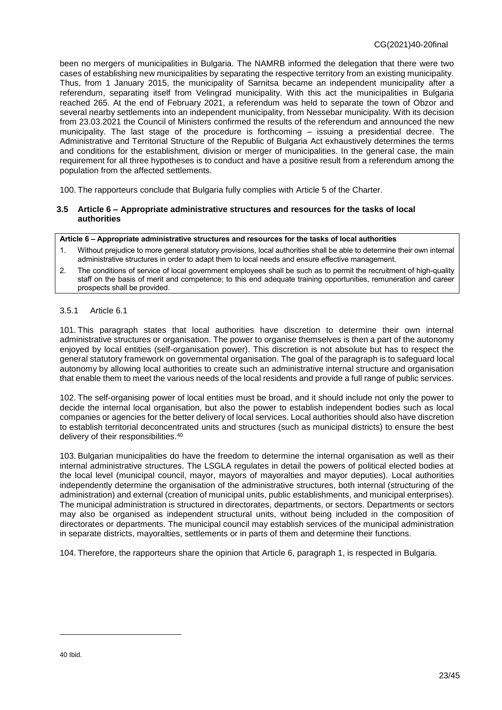been no mergers of municipalities in Bulgaria. The NAMRB informed the delegation that there were two cases of establishing new municipalities by separating the respective territory from an existing municipality. Thus, from 1 January 2015, the municipality of Sarnitsa became an independent municipality after a referendum, separating itself from Velingrad municipality. With this act the municipalities in Bulgaria reached 265. At the end of February 2021, a referendum was held to separate the town of Obzor and several nearby settlements into an independent municipality, from Nessebar municipality. With its decision from 23.03.2021 the Council of Ministers confirmed the results of the referendum and announced the new municipality. The last stage of the procedure is forthcoming – issuing a presidential decree. The Administrative and Territorial Structure of the Republic of Bulgaria Act exhaustively determines the terms and conditions for the establishment, division or merger of municipalities. In the general case, the main requirement for all three hypotheses is to conduct and have a positive result from a referendum among the population from the affected settlements.

100. The rapporteurs conclude that Bulgaria fully complies with Article 5 of the Charter.

#### <span id="page-22-0"></span>**3.5 Article 6 – Appropriate administrative structures and resources for the tasks of local authorities**

#### **Article 6 – Appropriate administrative structures and resources for the tasks of local authorities**

- 1. Without prejudice to more general statutory provisions, local authorities shall be able to determine their own internal administrative structures in order to adapt them to local needs and ensure effective management.
- 2. The conditions of service of local government employees shall be such as to permit the recruitment of high-quality staff on the basis of merit and competence; to this end adequate training opportunities, remuneration and career prospects shall be provided.

#### 3.5.1 Article 6.1

101. This paragraph states that local authorities have discretion to determine their own internal administrative structures or organisation. The power to organise themselves is then a part of the autonomy enjoyed by local entities (self-organisation power). This discretion is not absolute but has to respect the general statutory framework on governmental organisation. The goal of the paragraph is to safeguard local autonomy by allowing local authorities to create such an administrative internal structure and organisation that enable them to meet the various needs of the local residents and provide a full range of public services.

102. The self-organising power of local entities must be broad, and it should include not only the power to decide the internal local organisation, but also the power to establish independent bodies such as local companies or agencies for the better delivery of local services. Local authorities should also have discretion to establish territorial deconcentrated units and structures (such as municipal districts) to ensure the best delivery of their responsibilities.<sup>40</sup>

103. Bulgarian municipalities do have the freedom to determine the internal organisation as well as their internal administrative structures. The LSGLA regulates in detail the powers of political elected bodies at the local level (municipal council, mayor, mayors of mayoralties and mayor deputies). Local authorities independently determine the organisation of the administrative structures, both internal (structuring of the administration) and external (creation of municipal units, public establishments, and municipal enterprises). The municipal administration is structured in directorates, departments, or sectors. Departments or sectors may also be organised as independent structural units, without being included in the composition of directorates or departments. The municipal council may establish services of the municipal administration in separate districts, mayoralties, settlements or in parts of them and determine their functions.

104. Therefore, the rapporteurs share the opinion that Article 6, paragraph 1, is respected in Bulgaria.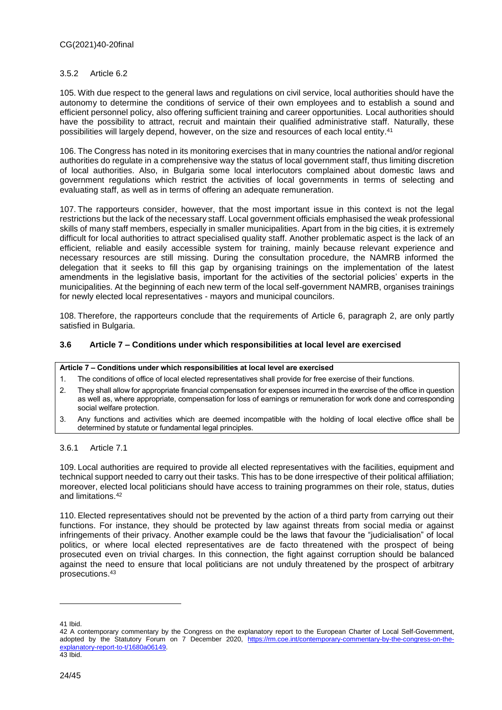#### 3.5.2 Article 6.2

105. With due respect to the general laws and regulations on civil service, local authorities should have the autonomy to determine the conditions of service of their own employees and to establish a sound and efficient personnel policy, also offering sufficient training and career opportunities. Local authorities should have the possibility to attract, recruit and maintain their qualified administrative staff. Naturally, these possibilities will largely depend, however, on the size and resources of each local entity.<sup>41</sup>

106. The Congress has noted in its monitoring exercises that in many countries the national and/or regional authorities do regulate in a comprehensive way the status of local government staff, thus limiting discretion of local authorities. Also, in Bulgaria some local interlocutors complained about domestic laws and government regulations which restrict the activities of local governments in terms of selecting and evaluating staff, as well as in terms of offering an adequate remuneration.

107. The rapporteurs consider, however, that the most important issue in this context is not the legal restrictions but the lack of the necessary staff. Local government officials emphasised the weak professional skills of many staff members, especially in smaller municipalities. Apart from in the big cities, it is extremely difficult for local authorities to attract specialised quality staff. Another problematic aspect is the lack of an efficient, reliable and easily accessible system for training, mainly because relevant experience and necessary resources are still missing. During the consultation procedure, the NAMRB informed the delegation that it seeks to fill this gap by organising trainings on the implementation of the latest amendments in the legislative basis, important for the activities of the sectorial policies' experts in the municipalities. At the beginning of each new term of the local self-government NAMRB, organises trainings for newly elected local representatives - mayors and municipal councilors.

108. Therefore, the rapporteurs conclude that the requirements of Article 6, paragraph 2, are only partly satisfied in Bulgaria.

#### <span id="page-23-0"></span>**3.6 Article 7 – Conditions under which responsibilities at local level are exercised**

#### **Article 7 – Conditions under which responsibilities at local level are exercised**

- 1. The conditions of office of local elected representatives shall provide for free exercise of their functions.
- 2. They shall allow for appropriate financial compensation for expenses incurred in the exercise of the office in question as well as, where appropriate, compensation for loss of earnings or remuneration for work done and corresponding social welfare protection.
- 3. Any functions and activities which are deemed incompatible with the holding of local elective office shall be determined by statute or fundamental legal principles.

3.6.1 Article 7.1

109. Local authorities are required to provide all elected representatives with the facilities, equipment and technical support needed to carry out their tasks. This has to be done irrespective of their political affiliation; moreover, elected local politicians should have access to training programmes on their role, status, duties and limitations. 42

110. Elected representatives should not be prevented by the action of a third party from carrying out their functions. For instance, they should be protected by law against threats from social media or against infringements of their privacy. Another example could be the laws that favour the "judicialisation" of local politics, or where local elected representatives are de facto threatened with the prospect of being prosecuted even on trivial charges. In this connection, the fight against corruption should be balanced against the need to ensure that local politicians are not unduly threatened by the prospect of arbitrary prosecutions. 43

<sup>41</sup> Ibid.

<sup>42</sup> A contemporary commentary by the Congress on the explanatory report to the European Charter of Local Self-Government, adopted by the Statutory Forum on 7 December 2020, [https://rm.coe.int/contemporary-commentary-by-the-congress-on-the](https://rm.coe.int/contemporary-commentary-by-the-congress-on-the-explanatory-report-to-t/1680a06149)[explanatory-report-to-t/1680a06149.](https://rm.coe.int/contemporary-commentary-by-the-congress-on-the-explanatory-report-to-t/1680a06149) 43 Ibid.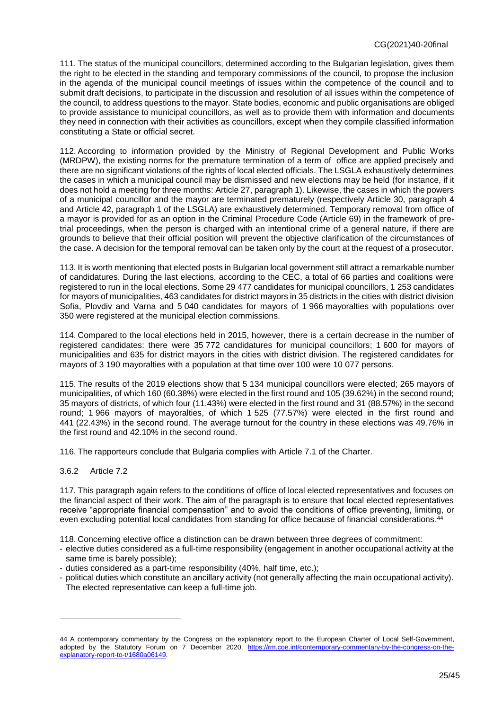111. The status of the municipal councillors, determined according to the Bulgarian legislation, gives them the right to be elected in the standing and temporary commissions of the council, to propose the inclusion in the agenda of the municipal council meetings of issues within the competence of the council and to submit draft decisions, to participate in the discussion and resolution of all issues within the competence of the council, to address questions to the mayor. State bodies, economic and public organisations are obliged to provide assistance to municipal councillors, as well as to provide them with information and documents they need in connection with their activities as councillors, except when they compile classified information constituting a State or official secret.

112. According to information provided by the Ministry of Regional Development and Public Works (MRDPW), the existing norms for the premature termination of a term of office are applied precisely and there are no significant violations of the rights of local elected officials. The LSGLA exhaustively determines the cases in which a municipal council may be dismissed and new elections may be held (for instance, if it does not hold a meeting for three months: Article 27, paragraph 1). Likewise, the cases in which the powers of a municipal councillor and the mayor are terminated prematurely (respectively Article 30, paragraph 4 and Article 42, paragraph 1 of the LSGLA) are exhaustively determined. Temporary removal from office of a mayor is provided for as an option in the Criminal Procedure Code (Article 69) in the framework of pretrial proceedings, when the person is charged with an intentional crime of a general nature, if there are grounds to believe that their official position will prevent the objective clarification of the circumstances of the case. A decision for the temporal removal can be taken only by the court at the request of a prosecutor.

113. It is worth mentioning that elected posts in Bulgarian local government still attract a remarkable number of candidatures. During the last elections, according to the CEC, a total of 66 parties and coalitions were registered to run in the local elections. Some 29 477 candidates for municipal councillors, 1 253 candidates for mayors of municipalities, 463 candidates for district mayors in 35 districts in the cities with district division Sofia, Plovdiv and Varna and 5 040 candidates for mayors of 1 966 mayoralties with populations over 350 were registered at the municipal election commissions.

114. Compared to the local elections held in 2015, however, there is a certain decrease in the number of registered candidates: there were 35 772 candidatures for municipal councillors; 1 600 for mayors of municipalities and 635 for district mayors in the cities with district division. The registered candidates for mayors of 3 190 mayoralties with a population at that time over 100 were 10 077 persons.

115. The results of the 2019 elections show that 5 134 municipal councillors were elected; 265 mayors of municipalities, of which 160 (60.38%) were elected in the first round and 105 (39.62%) in the second round; 35 mayors of districts, of which four (11.43%) were elected in the first round and 31 (88.57%) in the second round; 1 966 mayors of mayoralties, of which 1 525 (77.57%) were elected in the first round and 441 (22.43%) in the second round. The average turnout for the country in these elections was 49.76% in the first round and 42.10% in the second round.

116. The rapporteurs conclude that Bulgaria complies with Article 7.1 of the Charter.

### 3.6.2 Article 7.2

 $\overline{a}$ 

117. This paragraph again refers to the conditions of office of local elected representatives and focuses on the financial aspect of their work. The aim of the paragraph is to ensure that local elected representatives receive "appropriate financial compensation" and to avoid the conditions of office preventing, limiting, or even excluding potential local candidates from standing for office because of financial considerations. 44

118. Concerning elective office a distinction can be drawn between three degrees of commitment:

- elective duties considered as a full-time responsibility (engagement in another occupational activity at the same time is barely possible);
- duties considered as a part-time responsibility (40%, half time, etc.);
- political duties which constitute an ancillary activity (not generally affecting the main occupational activity). The elected representative can keep a full-time job.

<sup>44</sup> A contemporary commentary by the Congress on the explanatory report to the European Charter of Local Self-Government, adopted by the Statutory Forum on 7 December 2020, [https://rm.coe.int/contemporary-commentary-by-the-congress-on-the](https://rm.coe.int/contemporary-commentary-by-the-congress-on-the-explanatory-report-to-t/1680a06149)[explanatory-report-to-t/1680a06149.](https://rm.coe.int/contemporary-commentary-by-the-congress-on-the-explanatory-report-to-t/1680a06149)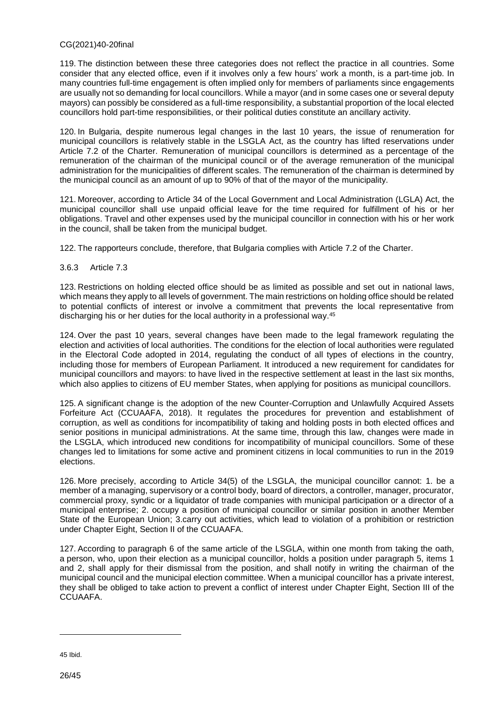119. The distinction between these three categories does not reflect the practice in all countries. Some consider that any elected office, even if it involves only a few hours' work a month, is a part-time job. In many countries full-time engagement is often implied only for members of parliaments since engagements are usually not so demanding for local councillors. While a mayor (and in some cases one or several deputy mayors) can possibly be considered as a full-time responsibility, a substantial proportion of the local elected councillors hold part-time responsibilities, or their political duties constitute an ancillary activity.

120. In Bulgaria, despite numerous legal changes in the last 10 years, the issue of renumeration for municipal councillors is relatively stable in the LSGLA Act, as the country has lifted reservations under Article 7.2 of the Charter. Remuneration of municipal councillors is determined as a percentage of the remuneration of the chairman of the municipal council or of the average remuneration of the municipal administration for the municipalities of different scales. The remuneration of the chairman is determined by the municipal council as an amount of up to 90% of that of the mayor of the municipality.

121. Moreover, according to Article 34 of the Local Government and Local Administration (LGLA) Act, the municipal councillor shall use unpaid official leave for the time required for fulfillment of his or her obligations. Travel and other expenses used by the municipal councillor in connection with his or her work in the council, shall be taken from the municipal budget.

122. The rapporteurs conclude, therefore, that Bulgaria complies with Article 7.2 of the Charter.

#### 3.6.3 Article 7.3

123. Restrictions on holding elected office should be as limited as possible and set out in national laws, which means they apply to all levels of government. The main restrictions on holding office should be related to potential conflicts of interest or involve a commitment that prevents the local representative from discharging his or her duties for the local authority in a professional way.<sup>45</sup>

124. Over the past 10 years, several changes have been made to the legal framework regulating the election and activities of local authorities. The conditions for the election of local authorities were regulated in the Electoral Code adopted in 2014, regulating the conduct of all types of elections in the country, including those for members of European Parliament. It introduced a new requirement for candidates for municipal councillors and mayors: to have lived in the respective settlement at least in the last six months, which also applies to citizens of EU member States, when applying for positions as municipal councillors.

125. A significant change is the adoption of the new Counter-Corruption and Unlawfully Acquired Assets Forfeiture Act (CCUAAFA, 2018). It regulates the procedures for prevention and establishment of corruption, as well as conditions for incompatibility of taking and holding posts in both elected offices and senior positions in municipal administrations. At the same time, through this law, changes were made in the LSGLA, which introduced new conditions for incompatibility of municipal councillors. Some of these changes led to limitations for some active and prominent citizens in local communities to run in the 2019 elections.

126. More precisely, according to Article 34(5) of the LSGLA, the municipal councillor cannot: 1. be a member of a managing, supervisory or a control body, board of directors, a controller, manager, procurator, commercial proxy, syndic or a liquidator of trade companies with municipal participation or a director of a municipal enterprise; 2. occupy a position of municipal councillor or similar position in another Member State of the European Union; 3.carry out activities, which lead to violation of a prohibition or restriction under Chapter Eight, Section II of the CCUAAFA.

127. According to paragraph 6 of the same article of the LSGLA, within one month from taking the oath, a person, who, upon their election as a municipal councillor, holds a position under paragraph 5, items 1 and 2, shall apply for their dismissal from the position, and shall notify in writing the chairman of the municipal council and the municipal election committee. When a municipal councillor has a private interest, they shall be obliged to take action to prevent a conflict of interest under Chapter Eight, Section III of the CCLIAAFA

<sup>45</sup> Ibid.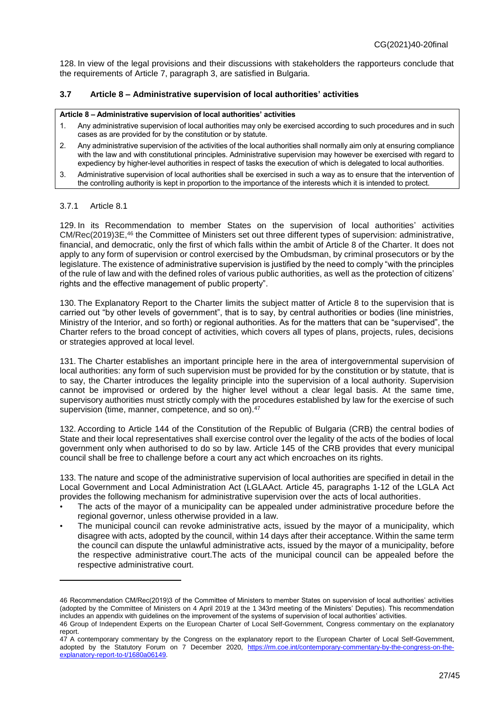128. In view of the legal provisions and their discussions with stakeholders the rapporteurs conclude that the requirements of Article 7, paragraph 3, are satisfied in Bulgaria.

### <span id="page-26-0"></span>**3.7 Article 8 – Administrative supervision of local authorities' activities**

#### **Article 8 – Administrative supervision of local authorities' activities**

- 1. Any administrative supervision of local authorities may only be exercised according to such procedures and in such cases as are provided for by the constitution or by statute.
- 2. Any administrative supervision of the activities of the local authorities shall normally aim only at ensuring compliance with the law and with constitutional principles. Administrative supervision may however be exercised with regard to expediency by higher-level authorities in respect of tasks the execution of which is delegated to local authorities.
- 3. Administrative supervision of local authorities shall be exercised in such a way as to ensure that the intervention of the controlling authority is kept in proportion to the importance of the interests which it is intended to protect.

#### 3.7.1 Article 8.1

 $\overline{a}$ 

129. In its Recommendation to member States on the supervision of local authorities' activities CM/Rec(2019)3E,<sup>46</sup> the Committee of Ministers set out three different types of supervision: administrative, financial, and democratic, only the first of which falls within the ambit of Article 8 of the Charter. It does not apply to any form of supervision or control exercised by the Ombudsman, by criminal prosecutors or by the legislature. The existence of administrative supervision is justified by the need to comply "with the principles of the rule of law and with the defined roles of various public authorities, as well as the protection of citizens' rights and the effective management of public property".

130. The Explanatory Report to the Charter limits the subject matter of Article 8 to the supervision that is carried out "by other levels of government", that is to say, by central authorities or bodies (line ministries, Ministry of the Interior, and so forth) or regional authorities. As for the matters that can be "supervised", the Charter refers to the broad concept of activities, which covers all types of plans, projects, rules, decisions or strategies approved at local level.

131. The Charter establishes an important principle here in the area of intergovernmental supervision of local authorities: any form of such supervision must be provided for by the constitution or by statute, that is to say, the Charter introduces the legality principle into the supervision of a local authority. Supervision cannot be improvised or ordered by the higher level without a clear legal basis. At the same time, supervisory authorities must strictly comply with the procedures established by law for the exercise of such supervision (time, manner, competence, and so on).<sup>47</sup>

132. According to Article 144 of the Constitution of the Republic of Bulgaria (CRB) the central bodies of State and their local representatives shall exercise control over the legality of the acts of the bodies of local government only when authorised to do so by law. Article 145 of the CRB provides that every municipal council shall be free to challenge before a court any act which encroaches on its rights.

133. The nature and scope of the administrative supervision of local authorities are specified in detail in the Local Government and Local Administration Act (LGLAAct. Article 45, paragraphs 1-12 of the LGLA Act provides the following mechanism for administrative supervision over the acts of local authorities.

- The acts of the mayor of a municipality can be appealed under administrative procedure before the regional governor, unless otherwise provided in a law.
- The municipal council can revoke administrative acts, issued by the mayor of a municipality, which disagree with acts, adopted by the council, within 14 days after their acceptance. Within the same term the council can dispute the unlawful administrative acts, issued by the mayor of a municipality, before the respective administrative court.The acts of the municipal council can be appealed before the respective administrative court.

<sup>46</sup> Recommendation CM/Rec(2019)3 of the Committee of Ministers to member States on supervision of local authorities' activities (adopted by the Committee of Ministers on 4 April 2019 at the 1 343rd meeting of the Ministers' Deputies). This recommendation includes an appendix with guidelines on the improvement of the systems of supervision of local authorities' activities.

<sup>46</sup> Group of Independent Experts on the European Charter of Local Self-Government, Congress commentary on the explanatory report.

<sup>47</sup> A contemporary commentary by the Congress on the explanatory report to the European Charter of Local Self-Government, adopted by the Statutory Forum on 7 December 2020, [https://rm.coe.int/contemporary-commentary-by-the-congress-on-the](https://rm.coe.int/contemporary-commentary-by-the-congress-on-the-explanatory-report-to-t/1680a06149)[explanatory-report-to-t/1680a06149.](https://rm.coe.int/contemporary-commentary-by-the-congress-on-the-explanatory-report-to-t/1680a06149)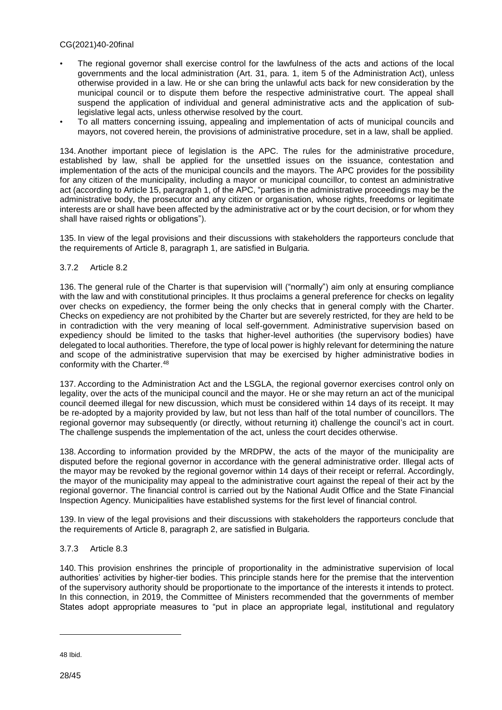- The regional governor shall exercise control for the lawfulness of the acts and actions of the local governments and the local administration (Art. 31, para. 1, item 5 of the Administration Act), unless otherwise provided in a law. He or she can bring the unlawful acts back for new consideration by the municipal council or to dispute them before the respective administrative court. The appeal shall suspend the application of individual and general administrative acts and the application of sublegislative legal acts, unless otherwise resolved by the court.
- To all matters concerning issuing, appealing and implementation of acts of municipal councils and mayors, not covered herein, the provisions of administrative procedure, set in a law, shall be applied.

134. Another important piece of legislation is the APC. The rules for the administrative procedure, established by law, shall be applied for the unsettled issues on the issuance, contestation and implementation of the acts of the municipal councils and the mayors. The APC provides for the possibility for any citizen of the municipality, including a mayor or municipal councillor, to contest an administrative act (according to Article 15, paragraph 1, of the APC, "parties in the administrative proceedings may be the administrative body, the prosecutor and any citizen or organisation, whose rights, freedoms or legitimate interests are or shall have been affected by the administrative act or by the court decision, or for whom they shall have raised rights or obligations").

135. In view of the legal provisions and their discussions with stakeholders the rapporteurs conclude that the requirements of Article 8, paragraph 1, are satisfied in Bulgaria.

#### 3.7.2 Article 8.2

136. The general rule of the Charter is that supervision will ("normally") aim only at ensuring compliance with the law and with constitutional principles. It thus proclaims a general preference for checks on legality over checks on expediency, the former being the only checks that in general comply with the Charter. Checks on expediency are not prohibited by the Charter but are severely restricted, for they are held to be in contradiction with the very meaning of local self-government. Administrative supervision based on expediency should be limited to the tasks that higher-level authorities (the supervisory bodies) have delegated to local authorities. Therefore, the type of local power is highly relevant for determining the nature and scope of the administrative supervision that may be exercised by higher administrative bodies in conformity with the Charter.<sup>48</sup>

137. According to the Administration Act and the LSGLA, the regional governor exercises control only on legality, over the acts of the municipal council and the mayor. He or she may return an act of the municipal council deemed illegal for new discussion, which must be considered within 14 days of its receipt. It may be re-adopted by a majority provided by law, but not less than half of the total number of councillors. The regional governor may subsequently (or directly, without returning it) challenge the council's act in court. The challenge suspends the implementation of the act, unless the court decides otherwise.

138. According to information provided by the MRDPW, the acts of the mayor of the municipality are disputed before the regional governor in accordance with the general administrative order. Illegal acts of the mayor may be revoked by the regional governor within 14 days of their receipt or referral. Accordingly, the mayor of the municipality may appeal to the administrative court against the repeal of their act by the regional governor. The financial control is carried out by the National Audit Office and the State Financial Inspection Agency. Municipalities have established systems for the first level of financial control.

139. In view of the legal provisions and their discussions with stakeholders the rapporteurs conclude that the requirements of Article 8, paragraph 2, are satisfied in Bulgaria.

#### 3.7.3 Article 8.3

140. This provision enshrines the principle of proportionality in the administrative supervision of local authorities' activities by higher-tier bodies. This principle stands here for the premise that the intervention of the supervisory authority should be proportionate to the importance of the interests it intends to protect. In this connection, in 2019, the Committee of Ministers recommended that the governments of member States adopt appropriate measures to "put in place an appropriate legal, institutional and regulatory

<sup>48</sup> Ibid.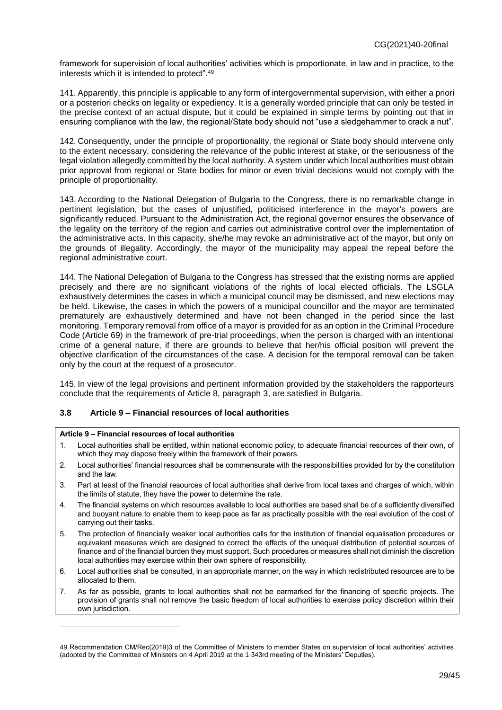framework for supervision of local authorities' activities which is proportionate, in law and in practice, to the interests which it is intended to protect". 49

141. Apparently, this principle is applicable to any form of intergovernmental supervision, with either a priori or a posteriori checks on legality or expediency. It is a generally worded principle that can only be tested in the precise context of an actual dispute, but it could be explained in simple terms by pointing out that in ensuring compliance with the law, the regional/State body should not "use a sledgehammer to crack a nut".

142. Consequently, under the principle of proportionality, the regional or State body should intervene only to the extent necessary, considering the relevance of the public interest at stake, or the seriousness of the legal violation allegedly committed by the local authority. A system under which local authorities must obtain prior approval from regional or State bodies for minor or even trivial decisions would not comply with the principle of proportionality.

143. According to the National Delegation of Bulgaria to the Congress, there is no remarkable change in pertinent legislation, but the cases of unjustified, politicised interference in the mayor's powers are significantly reduced. Pursuant to the Administration Act, the regional governor ensures the observance of the legality on the territory of the region and carries out administrative control over the implementation of the administrative acts. In this capacity, she/he may revoke an administrative act of the mayor, but only on the grounds of illegality. Accordingly, the mayor of the municipality may appeal the repeal before the regional administrative court.

144. The National Delegation of Bulgaria to the Congress has stressed that the existing norms are applied precisely and there are no significant violations of the rights of local elected officials. The LSGLA exhaustively determines the cases in which a municipal council may be dismissed, and new elections may be held. Likewise, the cases in which the powers of a municipal councillor and the mayor are terminated prematurely are exhaustively determined and have not been changed in the period since the last monitoring. Temporary removal from office of a mayor is provided for as an option in the Criminal Procedure Code (Article 69) in the framework of pre-trial proceedings, when the person is charged with an intentional crime of a general nature, if there are grounds to believe that her/his official position will prevent the objective clarification of the circumstances of the case. A decision for the temporal removal can be taken only by the court at the request of a prosecutor.

145. In view of the legal provisions and pertinent information provided by the stakeholders the rapporteurs conclude that the requirements of Article 8, paragraph 3, are satisfied in Bulgaria.

#### <span id="page-28-0"></span>**3.8 Article 9 – Financial resources of local authorities**

#### **Article 9 – Financial resources of local authorities**

- 1. Local authorities shall be entitled, within national economic policy, to adequate financial resources of their own, of which they may dispose freely within the framework of their powers.
- 2. Local authorities' financial resources shall be commensurate with the responsibilities provided for by the constitution and the law.
- 3. Part at least of the financial resources of local authorities shall derive from local taxes and charges of which, within the limits of statute, they have the power to determine the rate.
- 4. The financial systems on which resources available to local authorities are based shall be of a sufficiently diversified and buoyant nature to enable them to keep pace as far as practically possible with the real evolution of the cost of carrying out their tasks.
- 5. The protection of financially weaker local authorities calls for the institution of financial equalisation procedures or equivalent measures which are designed to correct the effects of the unequal distribution of potential sources of finance and of the financial burden they must support. Such procedures or measures shall not diminish the discretion local authorities may exercise within their own sphere of responsibility.
- 6. Local authorities shall be consulted, in an appropriate manner, on the way in which redistributed resources are to be allocated to them.
- 7. As far as possible, grants to local authorities shall not be earmarked for the financing of specific projects. The provision of grants shall not remove the basic freedom of local authorities to exercise policy discretion within their own jurisdiction.

<sup>49</sup> Recommendation CM/Rec(2019)3 of the Committee of Ministers to member States on supervision of local authorities' activities (adopted by the Committee of Ministers on 4 April 2019 at the 1 343rd meeting of the Ministers' Deputies).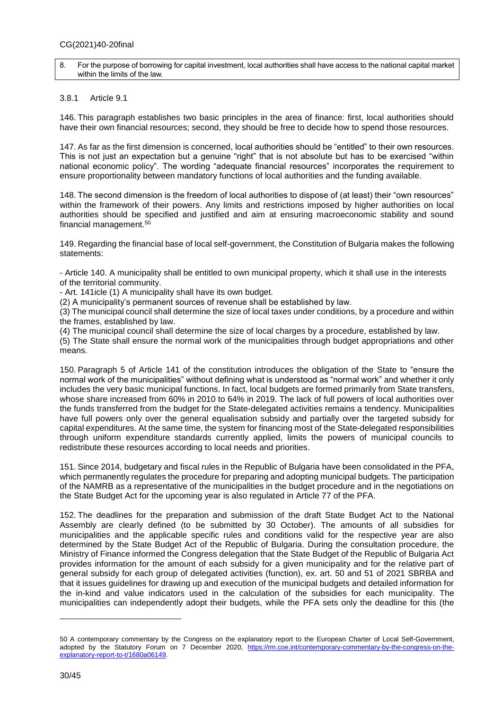#### 8. For the purpose of borrowing for capital investment, local authorities shall have access to the national capital market within the limits of the law.

#### 3.8.1 Article 9.1

146. This paragraph establishes two basic principles in the area of finance: first, local authorities should have their own financial resources; second, they should be free to decide how to spend those resources.

147. As far as the first dimension is concerned, local authorities should be "entitled" to their own resources. This is not just an expectation but a genuine "right" that is not absolute but has to be exercised "within national economic policy". The wording "adequate financial resources" incorporates the requirement to ensure proportionality between mandatory functions of local authorities and the funding available.

148. The second dimension is the freedom of local authorities to dispose of (at least) their "own resources" within the framework of their powers. Any limits and restrictions imposed by higher authorities on local authorities should be specified and justified and aim at ensuring macroeconomic stability and sound financial management. 50

149. Regarding the financial base of local self-government, the Constitution of Bulgaria makes the following statements:

- Article 140. A municipality shall be entitled to own municipal property, which it shall use in the interests of the territorial community.

- Art. 141icle (1) A municipality shall have its own budget.

(2) A municipality's permanent sources of revenue shall be established by law.

(3) The municipal council shall determine the size of local taxes under conditions, by a procedure and within the frames, established by law.

(4) The municipal council shall determine the size of local charges by a procedure, established by law. (5) The State shall ensure the normal work of the municipalities through budget appropriations and other means.

150. Paragraph 5 of Article 141 of the constitution introduces the obligation of the State to "ensure the normal work of the municipalities" without defining what is understood as "normal work" and whether it only includes the very basic municipal functions. In fact, local budgets are formed primarily from State transfers, whose share increased from 60% in 2010 to 64% in 2019. The lack of full powers of local authorities over the funds transferred from the budget for the State-delegated activities remains a tendency. Municipalities have full powers only over the general equalisation subsidy and partially over the targeted subsidy for capital expenditures. At the same time, the system for financing most of the State-delegated responsibilities through uniform expenditure standards currently applied, limits the powers of municipal councils to redistribute these resources according to local needs and priorities.

151. Since 2014, budgetary and fiscal rules in the Republic of Bulgaria have been consolidated in the PFA, which permanently regulates the procedure for preparing and adopting municipal budgets. The participation of the NAMRB as a representative of the municipalities in the budget procedure and in the negotiations on the State Budget Act for the upcoming year is also regulated in Article 77 of the PFA.

152. The deadlines for the preparation and submission of the draft State Budget Act to the National Assembly are clearly defined (to be submitted by 30 October). The amounts of all subsidies for municipalities and the applicable specific rules and conditions valid for the respective year are also determined by the State Budget Act of the Republic of Bulgaria. During the consultation procedure, the Ministry of Finance informed the Congress delegation that the State Budget of the Republic of Bulgaria Act provides information for the amount of each subsidy for a given municipality and for the relative part of general subsidy for each group of delegated activities (function), ex. art. 50 and 51 of 2021 SBRBA and that it issues guidelines for drawing up and execution of the municipal budgets and detailed information for the in-kind and value indicators used in the calculation of the subsidies for each municipality. The municipalities can independently adopt their budgets, while the PFA sets only the deadline for this (the

<sup>50</sup> A contemporary commentary by the Congress on the explanatory report to the European Charter of Local Self-Government, adopted by the Statutory Forum on 7 December 2020, [https://rm.coe.int/contemporary-commentary-by-the-congress-on-the](https://rm.coe.int/contemporary-commentary-by-the-congress-on-the-explanatory-report-to-t/1680a06149)[explanatory-report-to-t/1680a06149.](https://rm.coe.int/contemporary-commentary-by-the-congress-on-the-explanatory-report-to-t/1680a06149)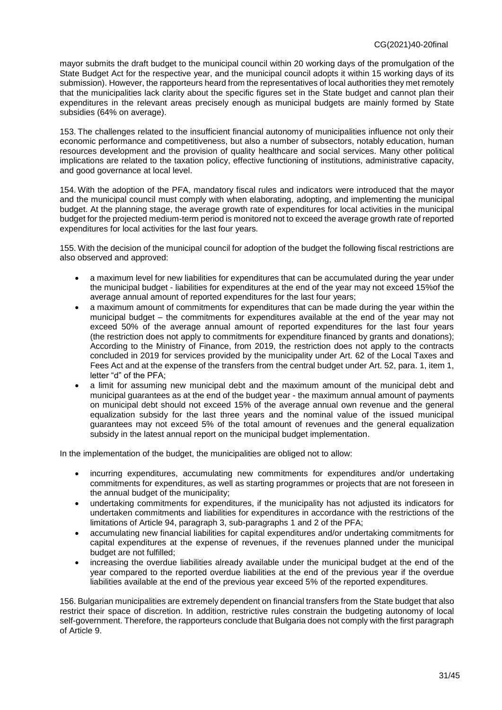mayor submits the draft budget to the municipal council within 20 working days of the promulgation of the State Budget Act for the respective year, and the municipal council adopts it within 15 working days of its submission). However, the rapporteurs heard from the representatives of local authorities they met remotely that the municipalities lack clarity about the specific figures set in the State budget and cannot plan their expenditures in the relevant areas precisely enough as municipal budgets are mainly formed by State subsidies (64% on average).

153. The challenges related to the insufficient financial autonomy of municipalities influence not only their economic performance and competitiveness, but also a number of subsectors, notably education, human resources development and the provision of quality healthcare and social services. Many other political implications are related to the taxation policy, effective functioning of institutions, administrative capacity, and good governance at local level.

154. With the adoption of the PFA, mandatory fiscal rules and indicators were introduced that the mayor and the municipal council must comply with when elaborating, adopting, and implementing the municipal budget. At the planning stage, the average growth rate of expenditures for local activities in the municipal budget for the projected medium-term period is monitored not to exceed the average growth rate of reported expenditures for local activities for the last four years.

155. With the decision of the municipal council for adoption of the budget the following fiscal restrictions are also observed and approved:

- a maximum level for new liabilities for expenditures that can be accumulated during the year under the municipal budget - liabilities for expenditures at the end of the year may not exceed 15%of the average annual amount of reported expenditures for the last four years;
- a maximum amount of commitments for expenditures that can be made during the year within the municipal budget – the commitments for expenditures available at the end of the year may not exceed 50% of the average annual amount of reported expenditures for the last four years (the restriction does not apply to commitments for expenditure financed by grants and donations); According to the Ministry of Finance, from 2019, the restriction does not apply to the contracts concluded in 2019 for services provided by the municipality under Art. 62 of the Local Taxes and Fees Act and at the expense of the transfers from the central budget under Art. 52, para. 1, item 1, letter "d" of the PFА;
- a limit for assuming new municipal debt and the maximum amount of the municipal debt and municipal guarantees as at the end of the budget year - the maximum annual amount of payments on municipal debt should not exceed 15% of the average annual own revenue and the general equalization subsidy for the last three years and the nominal value of the issued municipal guarantees may not exceed 5% of the total amount of revenues and the general equalization subsidy in the latest annual report on the municipal budget implementation.

In the implementation of the budget, the municipalities are obliged not to allow:

- incurring expenditures, accumulating new commitments for expenditures and/or undertaking commitments for expenditures, as well as starting programmes or projects that are not foreseen in the annual budget of the municipality;
- undertaking commitments for expenditures, if the municipality has not adjusted its indicators for undertaken commitments and liabilities for expenditures in accordance with the restrictions of the limitations of Article 94, paragraph 3, sub-paragraphs 1 and 2 of the PFA;
- accumulating new financial liabilities for capital expenditures and/or undertaking commitments for capital expenditures at the expense of revenues, if the revenues planned under the municipal budget are not fulfilled;
- increasing the overdue liabilities already available under the municipal budget at the end of the year compared to the reported overdue liabilities at the end of the previous year if the overdue liabilities available at the end of the previous year exceed 5% of the reported expenditures.

156. Bulgarian municipalities are extremely dependent on financial transfers from the State budget that also restrict their space of discretion. In addition, restrictive rules constrain the budgeting autonomy of local self-government. Therefore, the rapporteurs conclude that Bulgaria does not comply with the first paragraph of Article 9.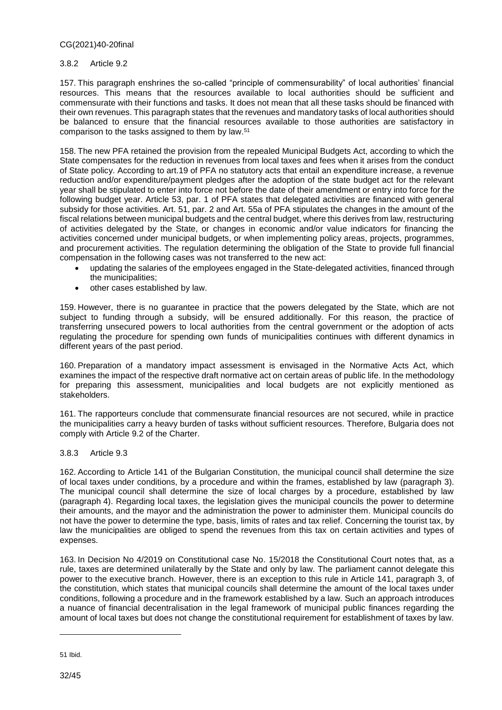#### 3.8.2 Article 9.2

157. This paragraph enshrines the so-called "principle of commensurability" of local authorities' financial resources. This means that the resources available to local authorities should be sufficient and commensurate with their functions and tasks. It does not mean that all these tasks should be financed with their own revenues. This paragraph states that the revenues and mandatory tasks of local authorities should be balanced to ensure that the financial resources available to those authorities are satisfactory in comparison to the tasks assigned to them by law. 51

158. The new PFA retained the provision from the repealed Municipal Budgets Act, according to which the State compensates for the reduction in revenues from local taxes and fees when it arises from the conduct of State policy. According to art.19 of PFA no statutory acts that entail an expenditure increase, a revenue reduction and/or expenditure/payment pledges after the adoption of the state budget act for the relevant year shall be stipulated to enter into force not before the date of their amendment or entry into force for the following budget year. Article 53, par. 1 of PFA states that delegated activities are financed with general subsidy for those activities. Art. 51, par. 2 and Art. 55a of PFA stipulates the changes in the amount of the fiscal relations between municipal budgets and the central budget, where this derives from law, restructuring of activities delegated by the State, or changes in economic and/or value indicators for financing the activities concerned under municipal budgets, or when implementing policy areas, projects, programmes, and procurement activities. The regulation determining the obligation of the State to provide full financial compensation in the following cases was not transferred to the new act:

- updating the salaries of the employees engaged in the State-delegated activities, financed through the municipalities;
- other cases established by law.

159. However, there is no guarantee in practice that the powers delegated by the State, which are not subject to funding through a subsidy, will be ensured additionally. For this reason, the practice of transferring unsecured powers to local authorities from the central government or the adoption of acts regulating the procedure for spending own funds of municipalities continues with different dynamics in different years of the past period.

160. Preparation of a mandatory impact assessment is envisaged in the Normative Acts Act, which examines the impact of the respective draft normative act on certain areas of public life. In the methodology for preparing this assessment, municipalities and local budgets are not explicitly mentioned as stakeholders.

161. The rapporteurs conclude that commensurate financial resources are not secured, while in practice the municipalities carry a heavy burden of tasks without sufficient resources. Therefore, Bulgaria does not comply with Article 9.2 of the Charter.

#### 3.8.3 Article 9.3

162. According to Article 141 of the Bulgarian Constitution, the municipal council shall determine the size of local taxes under conditions, by a procedure and within the frames, established by law (paragraph 3). The municipal council shall determine the size of local charges by a procedure, established by law (paragraph 4). Regarding local taxes, the legislation gives the municipal councils the power to determine their amounts, and the mayor and the administration the power to administer them. Municipal councils do not have the power to determine the type, basis, limits of rates and tax relief. Concerning the tourist tax, by law the municipalities are obliged to spend the revenues from this tax on certain activities and types of expenses.

163. In Decision No 4/2019 on Constitutional case No. 15/2018 the Constitutional Court notes that, as a rule, taxes are determined unilaterally by the State and only by law. The parliament cannot delegate this power to the executive branch. However, there is an exception to this rule in Article 141, paragraph 3, of the constitution, which states that municipal councils shall determine the amount of the local taxes under conditions, following a procedure and in the framework established by a law. Such an approach introduces a nuance of financial decentralisation in the legal framework of municipal public finances regarding the amount of local taxes but does not change the constitutional requirement for establishment of taxes by law.

<sup>51</sup> Ibid.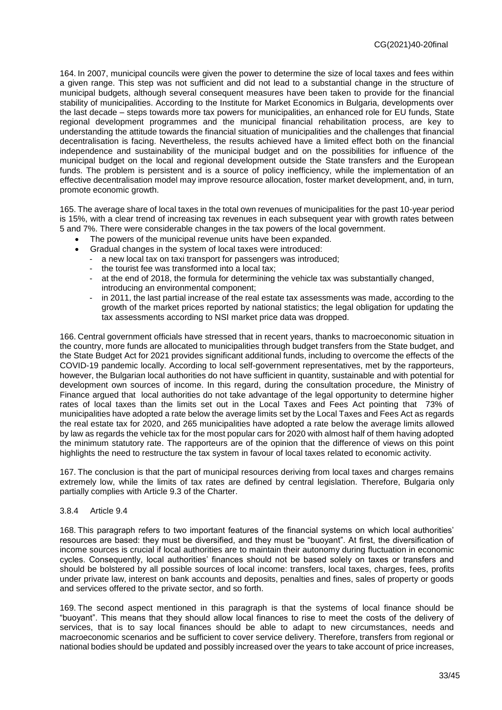164. In 2007, municipal councils were given the power to determine the size of local taxes and fees within a given range. This step was not sufficient and did not lead to a substantial change in the structure of municipal budgets, although several consequent measures have been taken to provide for the financial stability of municipalities. According to the Institute for Market Economics in Bulgaria, developments over the last decade – steps towards more tax powers for municipalities, an enhanced role for EU funds, State regional development programmеs and the municipal financial rehabilitation process, are key to understanding the attitude towards the financial situation of municipalities and the challenges that financial decentralisation is facing. Nevertheless, the results achieved have a limited effect both on the financial independence and sustainability of the municipal budget and on the possibilities for influence of the municipal budget on the local and regional development outside the State transfers and the European funds. The problem is persistent and is a source of policy inefficiency, while the implementation of an effective decentralisation model may improve resource allocation, foster market development, and, in turn, promote economic growth.

165. The average share of local taxes in the total own revenues of municipalities for the past 10-year period is 15%, with a clear trend of increasing tax revenues in each subsequent year with growth rates between 5 and 7%. There were considerable changes in the tax powers of the local government.

- The powers of the municipal revenue units have been expanded.
- Gradual changes in the system of local taxes were introduced:
	- a new local tax on taxi transport for passengers was introduced;
	- the tourist fee was transformed into a local tax;
	- at the end of 2018, the formula for determining the vehicle tax was substantially changed, introducing an environmental component;
	- in 2011, the last partial increase of the real estate tax assessments was made, according to the growth of the market prices reported by national statistics; the legal obligation for updating the tax assessments according to NSI market price data was dropped.

166. Central government officials have stressed that in recent years, thanks to macroeconomic situation in the country, more funds are allocated to municipalities through budget transfers from the State budget, and the State Budget Act for 2021 provides significant additional funds, including to overcome the effects of the COVID-19 pandemic locally. According to local self-government representatives, met by the rapporteurs, however, the Bulgarian local authorities do not have sufficient in quantity, sustainable and with potential for development own sources of income. In this regard, during the consultation procedure, the Ministry of Finance argued that local authorities do not take advantage of the legal opportunity to determine higher rates of local taxes than the limits set out in the Local Taxes and Fees Act pointing that 73% of municipalities have adopted a rate below the average limits set by the Local Taxes and Fees Act as regards the real estate tax for 2020, and 265 municipalities have adopted a rate below the average limits allowed by law as regards the vehicle tax for the most popular cars for 2020 with almost half of them having adopted the minimum statutory rate. The rapporteurs are of the opinion that the difference of views on this point highlights the need to restructure the tax system in favour of local taxes related to economic activity.

167. The conclusion is that the part of municipal resources deriving from local taxes and charges remains extremely low, while the limits of tax rates are defined by central legislation. Therefore, Bulgaria only partially complies with Article 9.3 of the Charter.

#### 3.8.4 Article 9.4

168. This paragraph refers to two important features of the financial systems on which local authorities' resources are based: they must be diversified, and they must be "buoyant". At first, the diversification of income sources is crucial if local authorities are to maintain their autonomy during fluctuation in economic cycles. Consequently, local authorities' finances should not be based solely on taxes or transfers and should be bolstered by all possible sources of local income: transfers, local taxes, charges, fees, profits under private law, interest on bank accounts and deposits, penalties and fines, sales of property or goods and services offered to the private sector, and so forth.

169. The second aspect mentioned in this paragraph is that the systems of local finance should be "buoyant". This means that they should allow local finances to rise to meet the costs of the delivery of services, that is to say local finances should be able to adapt to new circumstances, needs and macroeconomic scenarios and be sufficient to cover service delivery. Therefore, transfers from regional or national bodies should be updated and possibly increased over the years to take account of price increases,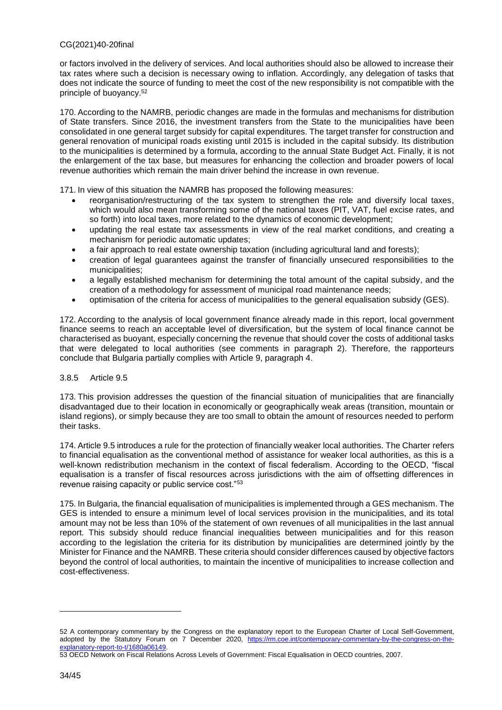or factors involved in the delivery of services. And local authorities should also be allowed to increase their tax rates where such a decision is necessary owing to inflation. Accordingly, any delegation of tasks that does not indicate the source of funding to meet the cost of the new responsibility is not compatible with the principle of buoyancy. 52

170. According to the NAMRB, periodic changes are made in the formulas and mechanisms for distribution of State transfers. Since 2016, the investment transfers from the State to the municipalities have been consolidated in one general target subsidy for capital expenditures. The target transfer for construction and general renovation of municipal roads existing until 2015 is included in the capital subsidy. Its distribution to the municipalities is determined by a formula, according to the annual State Budget Act. Finally, it is not the enlargement of the tax base, but measures for enhancing the collection and broader powers of local revenue authorities which remain the main driver behind the increase in own revenue.

171. In view of this situation the NAMRB has proposed the following measures:

- reorganisation/restructuring of the tax system to strengthen the role and diversify local taxes, which would also mean transforming some of the national taxes (PIT, VAT, fuel excise rates, and so forth) into local taxes, more related to the dynamics of economic development;
- updating the real estate tax assessments in view of the real market conditions, and creating a mechanism for periodic automatic updates;
- a fair approach to real estate ownership taxation (including agricultural land and forests);
- creation of legal guarantees against the transfer of financially unsecured responsibilities to the municipalities;
- a legally established mechanism for determining the total amount of the capital subsidy, and the creation of a methodology for assessment of municipal road maintenance needs;
- optimisation of the criteria for access of municipalities to the general equalisation subsidy (GES).

172. According to the analysis of local government finance already made in this report, local government finance seems to reach an acceptable level of diversification, but the system of local finance cannot be characterised as buoyant, especially concerning the revenue that should cover the costs of additional tasks that were delegated to local authorities (see comments in paragraph 2). Therefore, the rapporteurs conclude that Bulgaria partially complies with Article 9, paragraph 4.

#### 3.8.5 Article 9.5

173. This provision addresses the question of the financial situation of municipalities that are financially disadvantaged due to their location in economically or geographically weak areas (transition, mountain or island regions), or simply because they are too small to obtain the amount of resources needed to perform their tasks.

174. Article 9.5 introduces a rule for the protection of financially weaker local authorities. The Charter refers to financial equalisation as the conventional method of assistance for weaker local authorities, as this is a well-known redistribution mechanism in the context of fiscal federalism. According to the OECD, "fiscal equalisation is a transfer of fiscal resources across jurisdictions with the aim of offsetting differences in revenue raising capacity or public service cost."<sup>53</sup>

175. In Bulgaria, the financial equalisation of municipalities is implemented through a GES mechanism. The GES is intended to ensure a minimum level of local services provision in the municipalities, and its total amount may not be less than 10% of the statement of own revenues of all municipalities in the last annual report. This subsidy should reduce financial inequalities between municipalities and for this reason according to the legislation the criteria for its distribution by municipalities are determined jointly by the Minister for Finance and the NAMRB. These criteria should consider differences caused by objective factors beyond the control of local authorities, to maintain the incentive of municipalities to increase collection and cost-effectiveness.

<sup>52</sup> A contemporary commentary by the Congress on the explanatory report to the European Charter of Local Self-Government, adopted by the Statutory Forum on 7 December 2020, https://m.coe.int/contemporary-commentary-by-the-congress-on-the[explanatory-report-to-t/1680a06149.](https://rm.coe.int/contemporary-commentary-by-the-congress-on-the-explanatory-report-to-t/1680a06149)

<sup>53</sup> OECD Network on Fiscal Relations Across Levels of Government: Fiscal Equalisation in OECD countries, 2007.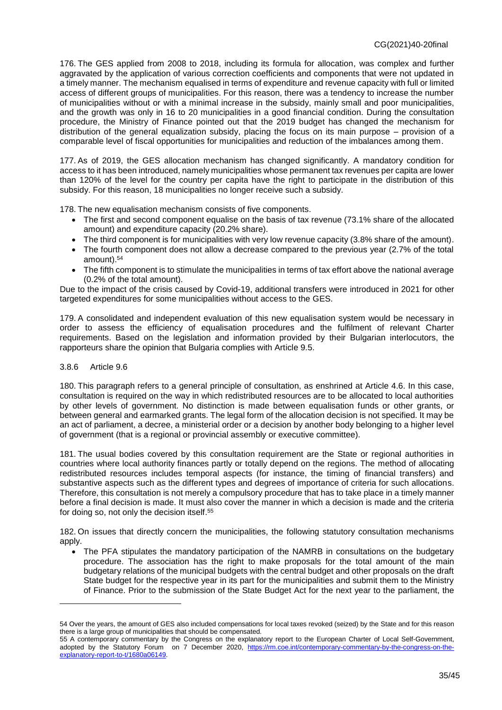176. The GES applied from 2008 to 2018, including its formula for allocation, was complex and further aggravated by the application of various correction coefficients and components that were not updated in a timely manner. The mechanism equalised in terms of expenditure and revenue capacity with full or limited access of different groups of municipalities. For this reason, there was a tendency to increase the number of municipalities without or with a minimal increase in the subsidy, mainly small and poor municipalities, and the growth was only in 16 to 20 municipalities in a good financial condition. During the consultation procedure, the Ministry of Finance pointed out that the 2019 budget has changed the mechanism for distribution of the general equalization subsidy, placing the focus on its main purpose – provision of a comparable level of fiscal opportunities for municipalities and reduction of the imbalances among them.

177. As of 2019, the GES allocation mechanism has changed significantly. A mandatory condition for access to it has been introduced, namely municipalities whose permanent tax revenues per capita are lower than 120% of the level for the country per capita have the right to participate in the distribution of this subsidy. For this reason, 18 municipalities no longer receive such a subsidy.

178. The new equalisation mechanism consists of five components.

- The first and second component equalise on the basis of tax revenue (73.1% share of the allocated amount) and expenditure capacity (20.2% share).
- The third component is for municipalities with very low revenue capacity (3.8% share of the amount).
- The fourth component does not allow a decrease compared to the previous year (2.7% of the total amount). 54
- The fifth component is to stimulate the municipalities in terms of tax effort above the national average (0.2% of the total amount).

Due to the impact of the crisis caused by Covid-19, additional transfers were introduced in 2021 for other targeted expenditures for some municipalities without access to the GES.

179. A consolidated and independent evaluation of this new equalisation system would be necessary in order to assess the efficiency of equalisation procedures and the fulfilment of relevant Charter requirements. Based on the legislation and information provided by their Bulgarian interlocutors, the rapporteurs share the opinion that Bulgaria complies with Article 9.5.

#### 3.8.6 Article 9.6

 $\overline{a}$ 

180. This paragraph refers to a general principle of consultation, as enshrined at Article 4.6. In this case, consultation is required on the way in which redistributed resources are to be allocated to local authorities by other levels of government. No distinction is made between equalisation funds or other grants, or between general and earmarked grants. The legal form of the allocation decision is not specified. It may be an act of parliament, a decree, a ministerial order or a decision by another body belonging to a higher level of government (that is a regional or provincial assembly or executive committee).

181. The usual bodies covered by this consultation requirement are the State or regional authorities in countries where local authority finances partly or totally depend on the regions. The method of allocating redistributed resources includes temporal aspects (for instance, the timing of financial transfers) and substantive aspects such as the different types and degrees of importance of criteria for such allocations. Therefore, this consultation is not merely a compulsory procedure that has to take place in a timely manner before a final decision is made. It must also cover the manner in which a decision is made and the criteria for doing so, not only the decision itself.<sup>55</sup>

182. On issues that directly concern the municipalities, the following statutory consultation mechanisms apply.

• The PFA stipulates the mandatory participation of the NAMRB in consultations on the budgetary procedure. The association has the right to make proposals for the total amount of the main budgetary relations of the municipal budgets with the central budget and other proposals on the draft State budget for the respective year in its part for the municipalities and submit them to the Ministry of Finance. Prior to the submission of the State Budget Act for the next year to the parliament, the

<sup>54</sup> Over the years, the amount of GES also included compensations for local taxes revoked (seized) by the State and for this reason there is a large group of municipalities that should be compensated.

<sup>55</sup> A contemporary commentary by the Congress on the explanatory report to the European Charter of Local Self-Government, adopted by the Statutory Forum on 7 December 2020, https://m.coe.int/contemporary-commentary-by-the-congress-on-the[explanatory-report-to-t/1680a06149.](https://rm.coe.int/contemporary-commentary-by-the-congress-on-the-explanatory-report-to-t/1680a06149)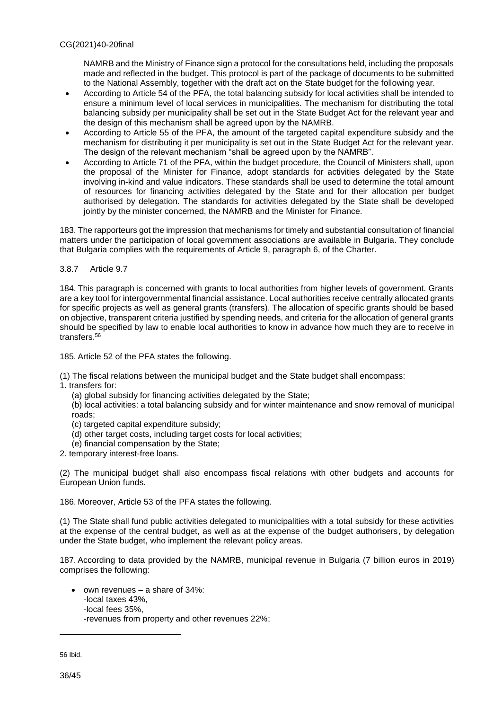NAMRB and the Ministry of Finance sign a protocol for the consultations held, including the proposals made and reflected in the budget. This protocol is part of the package of documents to be submitted to the National Assembly, together with the draft act on the State budget for the following year.

- According to Article 54 of the PFA, the total balancing subsidy for local activities shall be intended to ensure a minimum level of local services in municipalities. The mechanism for distributing the total balancing subsidy per municipality shall be set out in the State Budget Act for the relevant year and the design of this mechanism shall be agreed upon by the NAMRB.
- According to Article 55 of the PFA, the amount of the targeted capital expenditure subsidy and the mechanism for distributing it per municipality is set out in the State Budget Act for the relevant year. The design of the relevant mechanism "shall be agreed upon by the NAMRB".
- According to Article 71 of the PFA, within the budget procedure, the Council of Ministers shall, upon the proposal of the Minister for Finance, adopt standards for activities delegated by the State involving in-kind and value indicators. These standards shall be used to determine the total amount of resources for financing activities delegated by the State and for their allocation per budget authorised by delegation. The standards for activities delegated by the State shall be developed jointly by the minister concerned, the NAMRB and the Minister for Finance.

183. The rapporteurs got the impression that mechanisms for timely and substantial consultation of financial matters under the participation of local government associations are available in Bulgaria. They conclude that Bulgaria complies with the requirements of Article 9, paragraph 6, of the Charter.

#### 3.8.7 Article 9.7

184. This paragraph is concerned with grants to local authorities from higher levels of government. Grants are a key tool for intergovernmental financial assistance. Local authorities receive centrally allocated grants for specific projects as well as general grants (transfers). The allocation of specific grants should be based on objective, transparent criteria justified by spending needs, and criteria for the allocation of general grants should be specified by law to enable local authorities to know in advance how much they are to receive in transfers.<sup>56</sup>

185. Article 52 of the PFA states the following.

(1) The fiscal relations between the municipal budget and the State budget shall encompass:

- 1. transfers for:
	- (a) global subsidy for financing activities delegated by the State;

(b) local activities: a total balancing subsidy and for winter maintenance and snow removal of municipal roads;

- (c) targeted capital expenditure subsidy;
- (d) other target costs, including target costs for local activities;
- (e) financial compensation by the State;
- 2. temporary interest-free loans.

(2) The municipal budget shall also encompass fiscal relations with other budgets and accounts for European Union funds.

186. Moreover, Article 53 of the PFA states the following.

(1) The State shall fund public activities delegated to municipalities with a total subsidy for these activities at the expense of the central budget, as well as at the expense of the budget authorisers, by delegation under the State budget, who implement the relevant policy areas.

187. According to data provided by the NAMRB, municipal revenue in Bulgaria (7 billion euros in 2019) comprises the following:

 $\bullet$  own revenues – a share of 34%: -local taxes 43%, -local fees 35%, -revenues from property and other revenues 22%;

56 Ibid.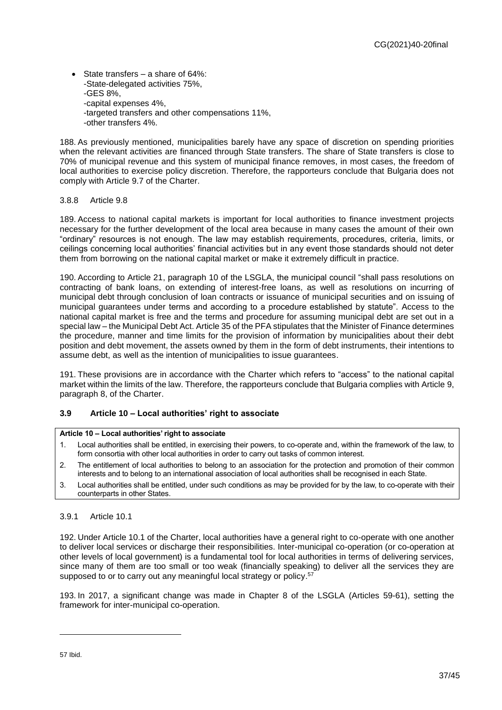State transfers – a share of 64%: -State-delegated activities 75%, -GES 8%, -capital expenses 4%, -targeted transfers and other compensations 11%, -other transfers 4%.

188. As previously mentioned, municipalities barely have any space of discretion on spending priorities when the relevant activities are financed through State transfers. The share of State transfers is close to 70% of municipal revenue and this system of municipal finance removes, in most cases, the freedom of local authorities to exercise policy discretion. Therefore, the rapporteurs conclude that Bulgaria does not comply with Article 9.7 of the Charter.

#### 3.8.8 Article 9.8

189. Access to national capital markets is important for local authorities to finance investment projects necessary for the further development of the local area because in many cases the amount of their own "ordinary" resources is not enough. The law may establish requirements, procedures, criteria, limits, or ceilings concerning local authorities' financial activities but in any event those standards should not deter them from borrowing on the national capital market or make it extremely difficult in practice.

190. According to Article 21, paragraph 10 of the LSGLA, the municipal council "shall pass resolutions on contracting of bank loans, on extending of interest-free loans, as well as resolutions on incurring of municipal debt through conclusion of loan contracts or issuance of municipal securities and on issuing of municipal guarantees under terms and according to a procedure established by statute". Access to the national capital market is free and the terms and procedure for assuming municipal debt are set out in a special law – the Municipal Debt Act. Article 35 of the PFA stipulates that the Minister of Finance determines the procedure, manner and time limits for the provision of information by municipalities about their debt position and debt movement, the assets owned by them in the form of debt instruments, their intentions to assume debt, as well as the intention of municipalities to issue guarantees.

191. These provisions are in accordance with the Charter which refers to "access" to the national capital market within the limits of the law. Therefore, the rapporteurs conclude that Bulgaria complies with Article 9, paragraph 8, of the Charter.

#### <span id="page-36-0"></span>**3.9 Article 10 – Local authorities' right to associate**

#### **Article 10 – Local authorities' right to associate**

- 1. Local authorities shall be entitled, in exercising their powers, to co-operate and, within the framework of the law, to form consortia with other local authorities in order to carry out tasks of common interest.
- 2. The entitlement of local authorities to belong to an association for the protection and promotion of their common interests and to belong to an international association of local authorities shall be recognised in each State.
- 3. Local authorities shall be entitled, under such conditions as may be provided for by the law, to co-operate with their counterparts in other States.

#### 3.9.1 Article 10.1

192. Under Article 10.1 of the Charter, local authorities have a general right to co-operate with one another to deliver local services or discharge their responsibilities. Inter-municipal co-operation (or co-operation at other levels of local government) is a fundamental tool for local authorities in terms of delivering services, since many of them are too small or too weak (financially speaking) to deliver all the services they are supposed to or to carry out any meaningful local strategy or policy.<sup>57</sup>

193. In 2017, a significant change was made in Chapter 8 of the LSGLA (Articles 59-61), setting the framework for inter-municipal co-operation.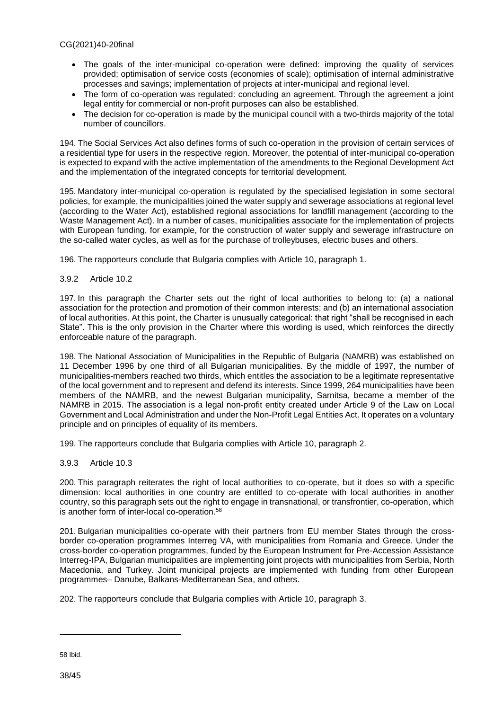- The goals of the inter-municipal co-operation were defined: improving the quality of services provided; optimisation of service costs (economies of scale); optimisation of internal administrative processes and savings; implementation of projects at inter-municipal and regional level.
- The form of co-operation was regulated: concluding an agreement. Through the agreement a joint legal entity for commercial or non-profit purposes can also be established.
- The decision for co-operation is made by the municipal council with a two-thirds majority of the total number of councillors.

194. The Social Services Act also defines forms of such co-operation in the provision of certain services of a residential type for users in the respective region. Moreover, the potential of inter-municipal co-operation is expected to expand with the active implementation of the amendments to the Regional Development Act and the implementation of the integrated concepts for territorial development.

195. Mandatory inter-municipal co-operation is regulated by the specialised legislation in some sectoral policies, for example, the municipalities joined the water supply and sewerage associations at regional level (according to the Water Act), established regional associations for landfill management (according to the Waste Management Act). In a number of cases, municipalities associate for the implementation of projects with European funding, for example, for the construction of water supply and sewerage infrastructure on the so-called water cycles, as well as for the purchase of trolleybuses, electric buses and others.

196. The rapporteurs conclude that Bulgaria complies with Article 10, paragraph 1.

#### 3.9.2 Article 10.2

197. In this paragraph the Charter sets out the right of local authorities to belong to: (a) a national association for the protection and promotion of their common interests; and (b) an international association of local authorities. At this point, the Charter is unusually categorical: that right "shall be recognised in each State". This is the only provision in the Charter where this wording is used, which reinforces the directly enforceable nature of the paragraph.

198. The National Association of Municipalities in the Republic of Bulgaria (NAMRB) was established on 11 December 1996 by one third of all Bulgarian municipalities. By the middle of 1997, the number of municipalities-members reached two thirds, which entitles the association to be a legitimate representative of the local government and to represent and defend its interests. Since 1999, 264 municipalities have been members of the NAMRB, and the newest Bulgarian municipality, Sarnitsa, became a member of the NAMRB in 2015. The association is a legal non-profit entity created under Article 9 of the Law on Local Government and Local Administration and under the Non-Profit Legal Entities Act. It operates on a voluntary principle and on principles of equality of its members.

199. The rapporteurs conclude that Bulgaria complies with Article 10, paragraph 2.

#### 3.9.3 Article 10.3

200. This paragraph reiterates the right of local authorities to co-operate, but it does so with a specific dimension: local authorities in one country are entitled to co-operate with local authorities in another country, so this paragraph sets out the right to engage in transnational, or transfrontier, co-operation, which is another form of inter-local co-operation. 58

201. Bulgarian municipalities co-operate with their partners from EU member States through the crossborder co-operation programmes Interreg VA, with municipalities from Romania and Greece. Under the cross-border co-operation programmes, funded by the European Instrument for Pre-Accession Assistance Interreg-IPA, Bulgarian municipalities are implementing joint projects with municipalities from Serbia, North Macedonia, and Turkey. Joint municipal projects are implemented with funding from other European programmes– Danube, Balkans-Mediterranean Sea, and others.

202. The rapporteurs conclude that Bulgaria complies with Article 10, paragraph 3.

<sup>58</sup> Ibid.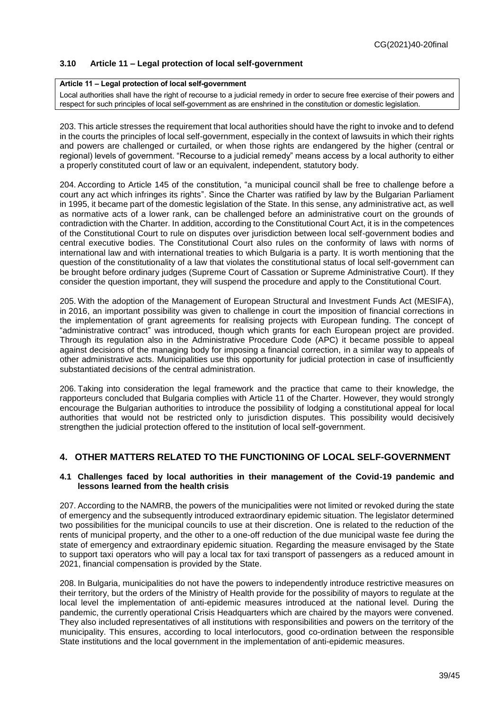### <span id="page-38-0"></span>**3.10 Article 11 – Legal protection of local self-government**

#### **Article 11 – Legal protection of local self-government**

Local authorities shall have the right of recourse to a judicial remedy in order to secure free exercise of their powers and respect for such principles of local self-government as are enshrined in the constitution or domestic legislation.

203. This article stresses the requirement that local authorities should have the right to invoke and to defend in the courts the principles of local self-government, especially in the context of lawsuits in which their rights and powers are challenged or curtailed, or when those rights are endangered by the higher (central or regional) levels of government. "Recourse to a judicial remedy" means access by a local authority to either a properly constituted court of law or an equivalent, independent, statutory body.

204. According to Article 145 of the constitution, "a municipal council shall be free to challenge before a court any act which infringes its rights". Since the Charter was ratified by law by the Bulgarian Parliament in 1995, it became part of the domestic legislation of the State. In this sense, any administrative act, as well as normative acts of a lower rank, can be challenged before an administrative court on the grounds of contradiction with the Charter. In addition, according to the Constitutional Court Act, it is in the competences of the Constitutional Court to rule on disputes over jurisdiction between local self-government bodies and central executive bodies. The Constitutional Court also rules on the conformity of laws with norms of international law and with international treaties to which Bulgaria is a party. It is worth mentioning that the question of the constitutionality of a law that violates the constitutional status of local self-government can be brought before ordinary judges (Supreme Court of Cassation or Supreme Administrative Court). If they consider the question important, they will suspend the procedure and apply to the Constitutional Court.

205. With the adoption of the Management of European Structural and Investment Funds Act (MESIFA), in 2016, an important possibility was given to challenge in court the imposition of financial corrections in the implementation of grant agreements for realising projects with European funding. The concept of "administrative contract" was introduced, though which grants for each European project are provided. Through its regulation also in the Administrative Procedure Code (APC) it became possible to appeal against decisions of the managing body for imposing a financial correction, in a similar way to appeals of other administrative acts. Municipalities use this opportunity for judicial protection in case of insufficiently substantiated decisions of the central administration.

206. Taking into consideration the legal framework and the practice that came to their knowledge, the rapporteurs concluded that Bulgaria complies with Article 11 of the Charter. However, they would strongly encourage the Bulgarian authorities to introduce the possibility of lodging a constitutional appeal for local authorities that would not be restricted only to jurisdiction disputes. This possibility would decisively strengthen the judicial protection offered to the institution of local self-government.

## <span id="page-38-1"></span>**4. OTHER MATTERS RELATED TO THE FUNCTIONING OF LOCAL SELF-GOVERNMENT**

#### <span id="page-38-2"></span>**4.1 Challenges faced by local authorities in their management of the Covid-19 pandemic and lessons learned from the health crisis**

207. According to the NAMRB, the powers of the municipalities were not limited or revoked during the state of emergency and the subsequently introduced extraordinary epidemic situation. The legislator determined two possibilities for the municipal councils to use at their discretion. One is related to the reduction of the rents of municipal property, and the other to a one-off reduction of the due municipal waste fee during the state of emergency and extraordinary epidemic situation. Regarding the measure envisaged by the State to support taxi operators who will pay a local tax for taxi transport of passengers as a reduced amount in 2021, financial compensation is provided by the State.

208. In Bulgaria, municipalities do not have the powers to independently introduce restrictive measures on their territory, but the orders of the Ministry of Health provide for the possibility of mayors to regulate at the local level the implementation of anti-epidemic measures introduced at the national level. During the pandemic, the currently operational Crisis Headquarters which are chaired by the mayors were convened. They also included representatives of all institutions with responsibilities and powers on the territory of the municipality. This ensures, according to local interlocutors, good co-ordination between the responsible State institutions and the local government in the implementation of anti-epidemic measures.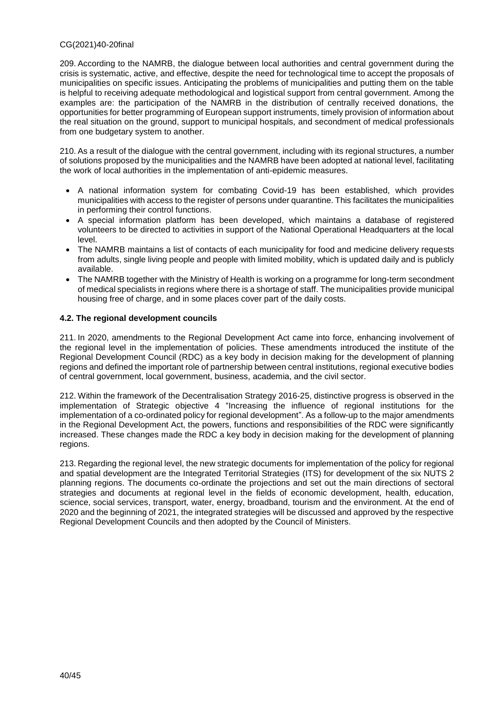209. According to the NAMRB, the dialogue between local authorities and central government during the crisis is systematic, active, and effective, despite the need for technological time to accept the proposals of municipalities on specific issues. Anticipating the problems of municipalities and putting them on the table is helpful to receiving adequate methodological and logistical support from central government. Among the examples are: the participation of the NAMRB in the distribution of centrally received donations, the opportunities for better programming of European support instruments, timely provision of information about the real situation on the ground, support to municipal hospitals, and secondment of medical professionals from one budgetary system to another.

210. As a result of the dialogue with the central government, including with its regional structures, a number of solutions proposed by the municipalities and the NAMRB have been adopted at national level, facilitating the work of local authorities in the implementation of anti-epidemic measures.

- A national information system for combating Covid-19 has been established, which provides municipalities with access to the register of persons under quarantine. This facilitates the municipalities in performing their control functions.
- A special information platform has been developed, which maintains a database of registered volunteers to be directed to activities in support of the National Operational Headquarters at the local level.
- The NAMRB maintains a list of contacts of each municipality for food and medicine delivery requests from adults, single living people and people with limited mobility, which is updated daily and is publicly available.
- The NAMRB together with the Ministry of Health is working on a programme for long-term secondment of medical specialists in regions where there is a shortage of staff. The municipalities provide municipal housing free of charge, and in some places cover part of the daily costs.

### <span id="page-39-0"></span>**4.2. The regional development councils**

211. In 2020, amendments to the Regional Development Act came into force, enhancing involvement of the regional level in the implementation of policies. These amendments introduced the institute of the Regional Development Council (RDC) as a key body in decision making for the development of planning regions and defined the important role of partnership between central institutions, regional executive bodies of central government, local government, business, academia, and the civil sector.

212. Within the framework of the Decentralisation Strategy 2016-25, distinctive progress is observed in the implementation of Strategic objective 4 "Increasing the influence of regional institutions for the implementation of a co-ordinated policy for regional development". Αs a follow-up to the major amendments in the Regional Development Act, the powers, functions and responsibilities of the RDC were significantly increased. These changes made the RDC a key body in decision making for the development of planning regions.

213. Regarding the regional level, the new strategic documents for implementation of the policy for regional and spatial development are the Integrated Territorial Strategies (ITS) for development of the six NUTS 2 planning regions. The documents co-ordinate the projections and set out the main directions of sectoral strategies and documents at regional level in the fields of economic development, health, education, science, social services, transport, water, energy, broadband, tourism and the environment. At the end of 2020 and the beginning of 2021, the integrated strategies will be discussed and approved by the respective Regional Development Councils and then adopted by the Council of Ministers.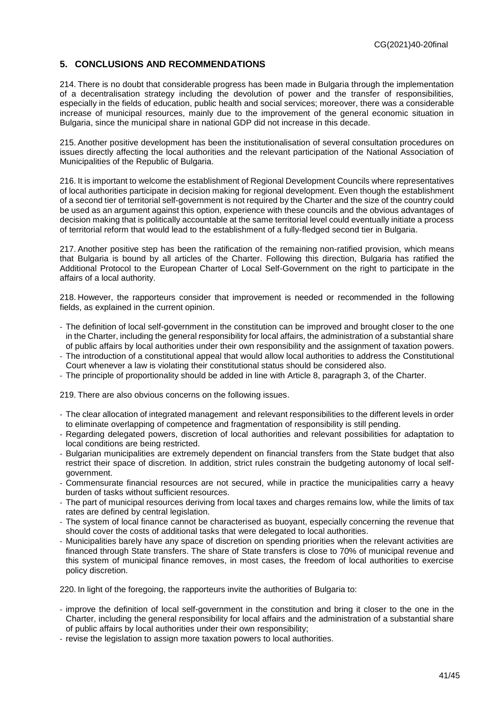### <span id="page-40-0"></span>**5. CONCLUSIONS AND RECOMMENDATIONS**

214. There is no doubt that considerable progress has been made in Bulgaria through the implementation of a decentralisation strategy including the devolution of power and the transfer of responsibilities, especially in the fields of education, public health and social services; moreover, there was a considerable increase of municipal resources, mainly due to the improvement of the general economic situation in Bulgaria, since the municipal share in national GDP did not increase in this decade.

215. Another positive development has been the institutionalisation of several consultation procedures on issues directly affecting the local authorities and the relevant participation of the National Association of Municipalities of the Republic of Bulgaria.

216. It is important to welcome the establishment of Regional Development Councils where representatives of local authorities participate in decision making for regional development. Even though the establishment of a second tier of territorial self-government is not required by the Charter and the size of the country could be used as an argument against this option, experience with these councils and the obvious advantages of decision making that is politically accountable at the same territorial level could eventually initiate a process of territorial reform that would lead to the establishment of a fully-fledged second tier in Bulgaria.

217. Another positive step has been the ratification of the remaining non-ratified provision, which means that Bulgaria is bound by all articles of the Charter. Following this direction, Bulgaria has ratified the Additional Protocol to the European Charter of Local Self-Government on the right to participate in the affairs of a local authority.

218. However, the rapporteurs consider that improvement is needed or recommended in the following fields, as explained in the current opinion.

- The definition of local self-government in the constitution can be improved and brought closer to the one in the Charter, including the general responsibility for local affairs, the administration of a substantial share of public affairs by local authorities under their own responsibility and the assignment of taxation powers.
- The introduction of a constitutional appeal that would allow local authorities to address the Constitutional Court whenever a law is violating their constitutional status should be considered also.
- The principle of proportionality should be added in line with Article 8, paragraph 3, of the Charter.

219. There are also obvious concerns on the following issues.

- The clear allocation of integrated management and relevant responsibilities to the different levels in order to eliminate overlapping of competence and fragmentation of responsibility is still pending.
- Regarding delegated powers, discretion of local authorities and relevant possibilities for adaptation to local conditions are being restricted.
- Bulgarian municipalities are extremely dependent on financial transfers from the State budget that also restrict their space of discretion. In addition, strict rules constrain the budgeting autonomy of local selfgovernment.
- Commensurate financial resources are not secured, while in practice the municipalities carry a heavy burden of tasks without sufficient resources.
- The part of municipal resources deriving from local taxes and charges remains low, while the limits of tax rates are defined by central legislation.
- The system of local finance cannot be characterised as buoyant, especially concerning the revenue that should cover the costs of additional tasks that were delegated to local authorities.
- Municipalities barely have any space of discretion on spending priorities when the relevant activities are financed through State transfers. The share of State transfers is close to 70% of municipal revenue and this system of municipal finance removes, in most cases, the freedom of local authorities to exercise policy discretion.

220. In light of the foregoing, the rapporteurs invite the authorities of Bulgaria to:

- improve the definition of local self-government in the constitution and bring it closer to the one in the Charter, including the general responsibility for local affairs and the administration of a substantial share of public affairs by local authorities under their own responsibility;
- revise the legislation to assign more taxation powers to local authorities.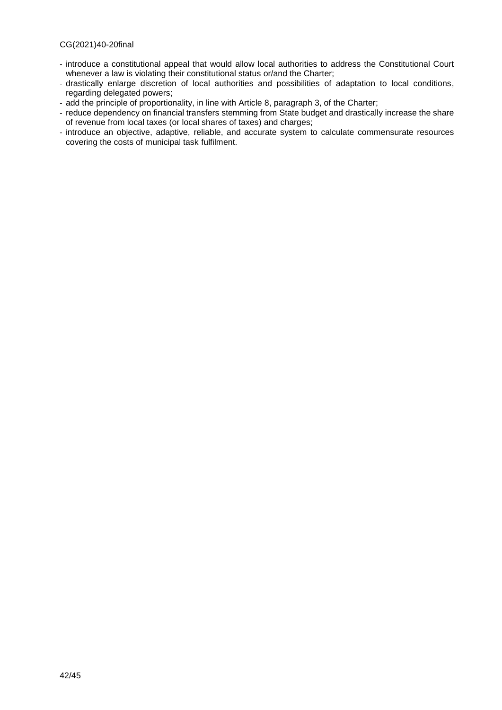- introduce a constitutional appeal that would allow local authorities to address the Constitutional Court whenever a law is violating their constitutional status or/and the Charter;
- drastically enlarge discretion of local authorities and possibilities of adaptation to local conditions, regarding delegated powers;
- add the principle of proportionality, in line with Article 8, paragraph 3, of the Charter;
- reduce dependency on financial transfers stemming from State budget and drastically increase the share of revenue from local taxes (or local shares of taxes) and charges;
- introduce an objective, adaptive, reliable, and accurate system to calculate commensurate resources covering the costs of municipal task fulfilment.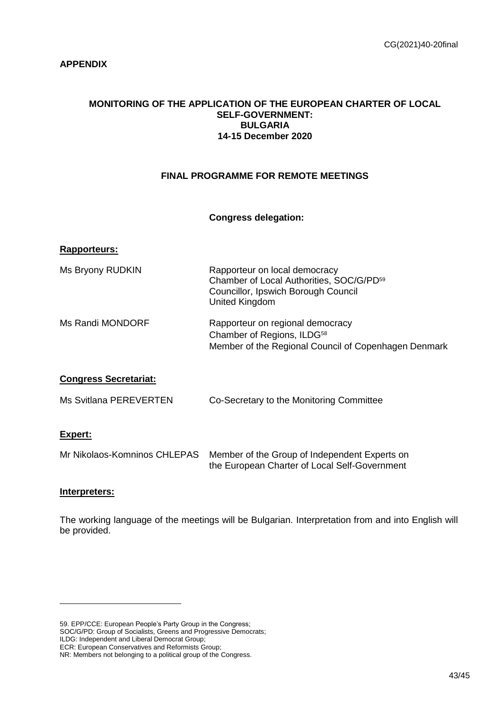## <span id="page-42-0"></span>**APPENDIX**

### **MONITORING OF THE APPLICATION OF THE EUROPEAN CHARTER OF LOCAL SELF-GOVERNMENT: BULGARIA 14-15 December 2020**

## **FINAL PROGRAMME FOR REMOTE MEETINGS**

## **Congress delegation:**

### **Rapporteurs:**

| Ms Bryony RUDKIN | Rapporteur on local democracy<br>Chamber of Local Authorities, SOC/G/PD <sup>59</sup><br>Councillor, Ipswich Borough Council<br>United Kingdom |
|------------------|------------------------------------------------------------------------------------------------------------------------------------------------|
| Ms Randi MONDORF | Rapporteur on regional democracy<br>Chamber of Regions, ILDG <sup>58</sup><br>Member of the Regional Council of Copenhagen Denmark             |

## **Congress Secretariat:**

|  | Ms Svitlana PEREVERTEN | Co-Secretary to the Monitoring Committee |
|--|------------------------|------------------------------------------|
|--|------------------------|------------------------------------------|

## **Expert:**

| Mr Nikolaos-Komninos CHLEPAS Member of the Group of Independent Experts on |
|----------------------------------------------------------------------------|
| the European Charter of Local Self-Government                              |

### **Interpreters:**

 $\overline{a}$ 

The working language of the meetings will be Bulgarian. Interpretation from and into English will be provided.

59. EPP/CCE: European People's Party Group in the Congress; SOC/G/PD: Group of Socialists, Greens and Progressive Democrats; ILDG: Independent and Liberal Democrat Group; ECR: European Conservatives and Reformists Group; NR: Members not belonging to a political group of the Congress.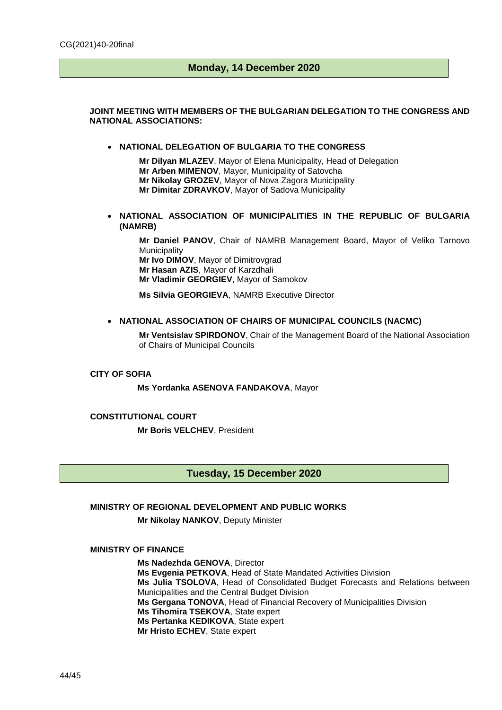## **Monday, 14 December 2020**

#### **JOINT MEETING WITH MEMBERS OF THE BULGARIAN DELEGATION TO THE CONGRESS AND NATIONAL ASSOCIATIONS:**

#### **NATIONAL DELEGATION OF BULGARIA TO THE CONGRESS**

**Mr Dilyan MLAZEV**, Mayor of Elena Municipality, Head of Delegation **Mr Arben MIMENOV**, Mayor, Municipality of Satovcha **Mr Nikolay GROZEV**, Mayor of Nova Zagora Municipality **Mr Dimitar ZDRAVKOV**, Mayor of Sadova Municipality

 **NATIONAL ASSOCIATION OF MUNICIPALITIES IN THE REPUBLIC OF BULGARIA (NAMRB)** 

**Mr Daniel PANOV**, Chair of NAMRB Management Board, Mayor of Veliko Tarnovo **Municipality Mr Ivo DIMOV**, Mayor of Dimitrovgrad **Mr Hasan AZIS**, Mayor of Karzdhali **Mr Vladimir GEORGIEV**, Mayor of Samokov

**Ms Silvia GEORGIEVA**, NAMRB Executive Director

#### **NATIONAL ASSOCIATION OF CHAIRS OF MUNICIPAL COUNCILS (NACMC)**

**Mr Ventsislav SPIRDONOV**, Chair of the Management Board of the National Association of Chairs of Municipal Councils

#### **CITY OF SOFIA**

**Ms Yordanka ASENOVA FANDAKOVA**, Mayor

**CONSTITUTIONAL COURT Mr Boris VELCHEV**, President

### **Tuesday, 15 December 2020**

#### **MINISTRY OF REGIONAL DEVELOPMENT AND PUBLIC WORKS**

**Mr Nikolay NANKOV**, Deputy Minister

### **MINISTRY OF FINANCE**

**Ms Nadezhda GENOVA**, Director **Ms Evgenia PETKOVA**, Head of State Mandated Activities Division **Ms Julia TSOLOVA**, Head of Consolidated Budget Forecasts and Relations between Municipalities and the Central Budget Division **Ms Gergana TONOVA**, Head of Financial Recovery of Municipalities Division **Ms Tihomira TSEKOVA**, State expert **Ms Pertanka KEDIKOVA**, State expert **Mr Hristo ECHEV**, State expert